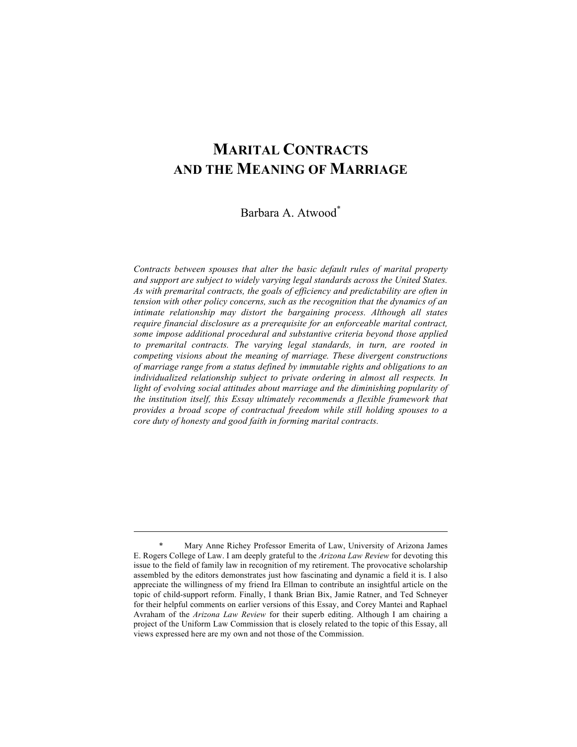# **MARITAL CONTRACTS AND THE MEANING OF MARRIAGE**

Barbara A. Atwood\*

*Contracts between spouses that alter the basic default rules of marital property and support are subject to widely varying legal standards across the United States. As with premarital contracts, the goals of efficiency and predictability are often in tension with other policy concerns, such as the recognition that the dynamics of an intimate relationship may distort the bargaining process. Although all states require financial disclosure as a prerequisite for an enforceable marital contract, some impose additional procedural and substantive criteria beyond those applied to premarital contracts. The varying legal standards, in turn, are rooted in competing visions about the meaning of marriage. These divergent constructions of marriage range from a status defined by immutable rights and obligations to an individualized relationship subject to private ordering in almost all respects. In light of evolving social attitudes about marriage and the diminishing popularity of the institution itself, this Essay ultimately recommends a flexible framework that provides a broad scope of contractual freedom while still holding spouses to a core duty of honesty and good faith in forming marital contracts.*

Mary Anne Richey Professor Emerita of Law, University of Arizona James E. Rogers College of Law. I am deeply grateful to the *Arizona Law Review* for devoting this issue to the field of family law in recognition of my retirement. The provocative scholarship assembled by the editors demonstrates just how fascinating and dynamic a field it is. I also appreciate the willingness of my friend Ira Ellman to contribute an insightful article on the topic of child-support reform. Finally, I thank Brian Bix, Jamie Ratner, and Ted Schneyer for their helpful comments on earlier versions of this Essay, and Corey Mantei and Raphael Avraham of the *Arizona Law Review* for their superb editing. Although I am chairing a project of the Uniform Law Commission that is closely related to the topic of this Essay, all views expressed here are my own and not those of the Commission.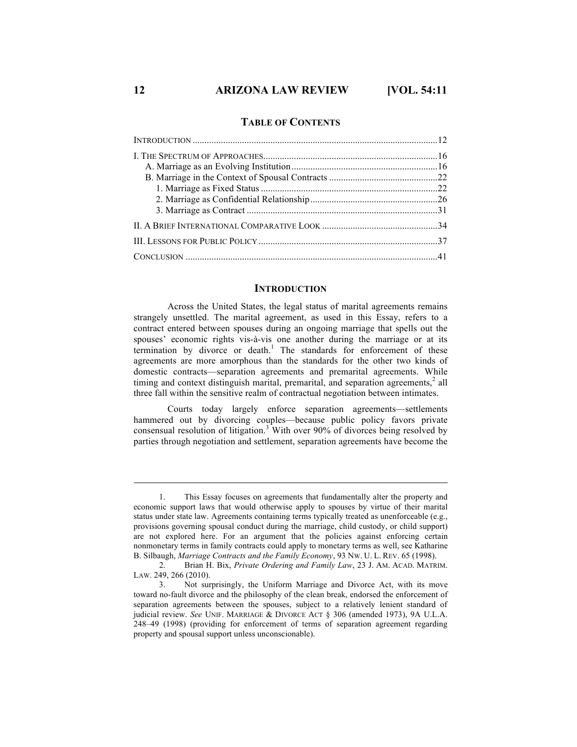#### **TABLE OF CONTENTS**

# **INTRODUCTION**

Across the United States, the legal status of marital agreements remains strangely unsettled. The marital agreement, as used in this Essay, refers to a contract entered between spouses during an ongoing marriage that spells out the spouses' economic rights vis-à-vis one another during the marriage or at its termination by divorce or death.<sup>1</sup> The standards for enforcement of these agreements are more amorphous than the standards for the other two kinds of domestic contracts—separation agreements and premarital agreements. While timing and context distinguish marital, premarital, and separation agreements, $2$  all three fall within the sensitive realm of contractual negotiation between intimates.

Courts today largely enforce separation agreements—settlements hammered out by divorcing couples—because public policy favors private consensual resolution of litigation.<sup>3</sup> With over 90% of divorces being resolved by parties through negotiation and settlement, separation agreements have become the

This Essay focuses on agreements that fundamentally alter the property and economic support laws that would otherwise apply to spouses by virtue of their marital status under state law. Agreements containing terms typically treated as unenforceable (e.g., provisions governing spousal conduct during the marriage, child custody, or child support) are not explored here. For an argument that the policies against enforcing certain nonmonetary terms in family contracts could apply to monetary terms as well, see Katharine B. Silbaugh, *Marriage Contracts and the Family Economy*, 93 NW. U. L. REV. 65 (1998).

 <sup>2.</sup> Brian H. Bix, *Private Ordering and Family Law*, 23 J. AM. ACAD. MATRIM. LAW. 249, 266 (2010).

 <sup>3.</sup> Not surprisingly, the Uniform Marriage and Divorce Act, with its move toward no-fault divorce and the philosophy of the clean break, endorsed the enforcement of separation agreements between the spouses, subject to a relatively lenient standard of judicial review. *See* UNIF. MARRIAGE & DIVORCE ACT § 306 (amended 1973), 9A U.L.A. 248–49 (1998) (providing for enforcement of terms of separation agreement regarding property and spousal support unless unconscionable).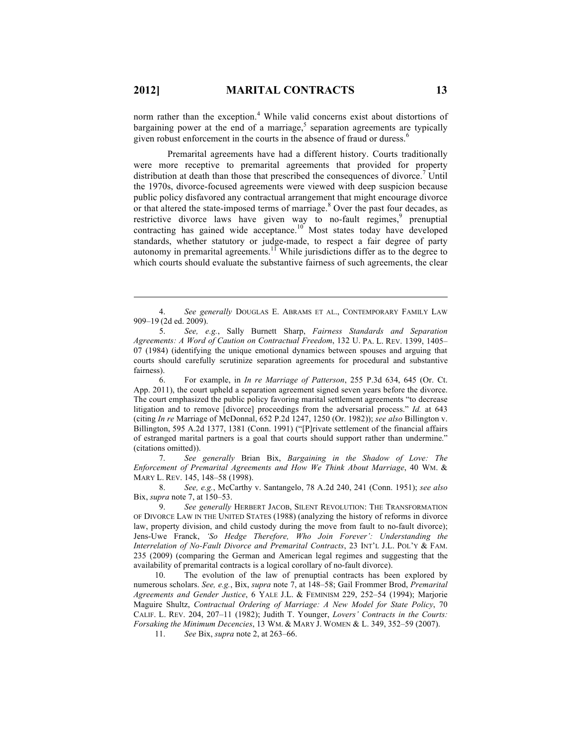$\overline{a}$ 

norm rather than the exception.<sup>4</sup> While valid concerns exist about distortions of bargaining power at the end of a marriage,<sup>5</sup> separation agreements are typically given robust enforcement in the courts in the absence of fraud or duress.<sup>6</sup>

Premarital agreements have had a different history. Courts traditionally were more receptive to premarital agreements that provided for property distribution at death than those that prescribed the consequences of divorce.<sup>7</sup> Until the 1970s, divorce-focused agreements were viewed with deep suspicion because public policy disfavored any contractual arrangement that might encourage divorce or that altered the state-imposed terms of marriage.<sup>8</sup> Over the past four decades, as restrictive divorce laws have given way to no-fault regimes,<sup>9</sup> prenuptial contracting has gained wide acceptance.<sup>10</sup> Most states today have developed standards, whether statutory or judge-made, to respect a fair degree of party autonomy in premarital agreements.<sup>11</sup> While jurisdictions differ as to the degree to which courts should evaluate the substantive fairness of such agreements, the clear

 6. For example, in *In re Marriage of Patterson*, 255 P.3d 634, 645 (Or. Ct. App. 2011), the court upheld a separation agreement signed seven years before the divorce. The court emphasized the public policy favoring marital settlement agreements "to decrease litigation and to remove [divorce] proceedings from the adversarial process." *Id.* at 643 (citing *In re* Marriage of McDonnal, 652 P.2d 1247, 1250 (Or. 1982)); *see also* Billington v. Billington, 595 A.2d 1377, 1381 (Conn. 1991) ("[P]rivate settlement of the financial affairs of estranged marital partners is a goal that courts should support rather than undermine." (citations omitted)).

 7. *See generally* Brian Bix, *Bargaining in the Shadow of Love: The Enforcement of Premarital Agreements and How We Think About Marriage*, 40 WM. & MARY L. REV. 145, 148–58 (1998).

 8. *See, e.g.*, McCarthy v. Santangelo, 78 A.2d 240, 241 (Conn. 1951); *see also*  Bix, *supra* note 7, at 150–53.

 9. *See generally* HERBERT JACOB, SILENT REVOLUTION: THE TRANSFORMATION OF DIVORCE LAW IN THE UNITED STATES (1988) (analyzing the history of reforms in divorce law, property division, and child custody during the move from fault to no-fault divorce); Jens-Uwe Franck, *'So Hedge Therefore, Who Join Forever': Understanding the Interrelation of No-Fault Divorce and Premarital Contracts*, 23 INT'L J.L. POL'Y & FAM. 235 (2009) (comparing the German and American legal regimes and suggesting that the availability of premarital contracts is a logical corollary of no-fault divorce).

 10. The evolution of the law of prenuptial contracts has been explored by numerous scholars. *See, e.g.*, Bix, *supra* note 7, at 148–58; Gail Frommer Brod, *Premarital Agreements and Gender Justice*, 6 YALE J.L. & FEMINISM 229, 252–54 (1994); Marjorie Maguire Shultz, *Contractual Ordering of Marriage: A New Model for State Policy*, 70 CALIF. L. REV. 204, 207–11 (1982); Judith T. Younger, *Lovers' Contracts in the Courts: Forsaking the Minimum Decencies*, 13 WM. & MARY J. WOMEN & L. 349, 352–59 (2007).

11. *See* Bix, *supra* note 2, at 263–66.

 <sup>4.</sup> *See generally* DOUGLAS E. ABRAMS ET AL., CONTEMPORARY FAMILY LAW 909–19 (2d ed. 2009).

 <sup>5.</sup> *See, e.g.*, Sally Burnett Sharp, *Fairness Standards and Separation Agreements: A Word of Caution on Contractual Freedom*, 132 U. PA. L. REV. 1399, 1405– 07 (1984) (identifying the unique emotional dynamics between spouses and arguing that courts should carefully scrutinize separation agreements for procedural and substantive fairness).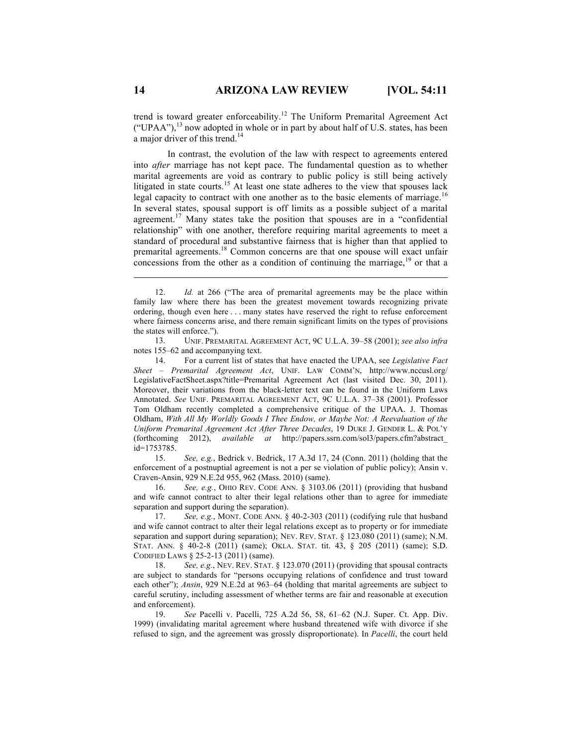trend is toward greater enforceability.<sup>12</sup> The Uniform Premarital Agreement Act ("UPAA"), $^{13}$  now adopted in whole or in part by about half of U.S. states, has been a major driver of this trend.<sup>14</sup>

In contrast, the evolution of the law with respect to agreements entered into *after* marriage has not kept pace. The fundamental question as to whether marital agreements are void as contrary to public policy is still being actively litigated in state courts.<sup>15</sup> At least one state adheres to the view that spouses lack legal capacity to contract with one another as to the basic elements of marriage.<sup>16</sup> In several states, spousal support is off limits as a possible subject of a marital agreement.<sup>17</sup> Many states take the position that spouses are in a "confidential" relationship" with one another, therefore requiring marital agreements to meet a standard of procedural and substantive fairness that is higher than that applied to premarital agreements.<sup>18</sup> Common concerns are that one spouse will exact unfair concessions from the other as a condition of continuing the marriage, $19$  or that a

 13. UNIF. PREMARITAL AGREEMENT ACT, 9C U.L.A. 39–58 (2001); *see also infra* notes 155–62 and accompanying text.

 14. For a current list of states that have enacted the UPAA, see *Legislative Fact Sheet – Premarital Agreement Act*, UNIF. LAW COMM'N, http://www.nccusl.org/ LegislativeFactSheet.aspx?title=Premarital Agreement Act (last visited Dec. 30, 2011). Moreover, their variations from the black-letter text can be found in the Uniform Laws Annotated. *See* UNIF. PREMARITAL AGREEMENT ACT, 9C U.L.A. 37–38 (2001). Professor Tom Oldham recently completed a comprehensive critique of the UPAA. J. Thomas Oldham, *With All My Worldly Goods I Thee Endow, or Maybe Not: A Reevaluation of the Uniform Premarital Agreement Act After Three Decades*, 19 DUKE J. GENDER L. & POL'Y (forthcoming 2012), *available at* http://papers.ssrn.com/sol3/papers.cfm?abstract\_ id=1753785.

 15. *See, e.g.*, Bedrick v. Bedrick, 17 A.3d 17, 24 (Conn. 2011) (holding that the enforcement of a postnuptial agreement is not a per se violation of public policy); Ansin v. Craven-Ansin, 929 N.E.2d 955, 962 (Mass. 2010) (same).

 16. *See, e.g.*, OHIO REV. CODE ANN. § 3103.06 (2011) (providing that husband and wife cannot contract to alter their legal relations other than to agree for immediate separation and support during the separation).

 17. *See, e.g.*, MONT. CODE ANN. § 40-2-303 (2011) (codifying rule that husband and wife cannot contract to alter their legal relations except as to property or for immediate separation and support during separation); NEV. REV. STAT. § 123.080 (2011) (same); N.M. STAT. ANN. § 40-2-8 (2011) (same); OKLA. STAT. tit. 43, § 205 (2011) (same); S.D. CODIFIED LAWS § 25-2-13 (2011) (same).

 18. *See, e.g.*, NEV. REV. STAT. § 123.070 (2011) (providing that spousal contracts are subject to standards for "persons occupying relations of confidence and trust toward each other"); *Ansin*, 929 N.E.2d at 963–64 (holding that marital agreements are subject to careful scrutiny, including assessment of whether terms are fair and reasonable at execution and enforcement).

 19. *See* Pacelli v. Pacelli, 725 A.2d 56, 58, 61–62 (N.J. Super. Ct. App. Div. 1999) (invalidating marital agreement where husband threatened wife with divorce if she refused to sign, and the agreement was grossly disproportionate). In *Pacelli*, the court held

 <sup>12.</sup> *Id.* at 266 ("The area of premarital agreements may be the place within family law where there has been the greatest movement towards recognizing private ordering, though even here . . . many states have reserved the right to refuse enforcement where fairness concerns arise, and there remain significant limits on the types of provisions the states will enforce.").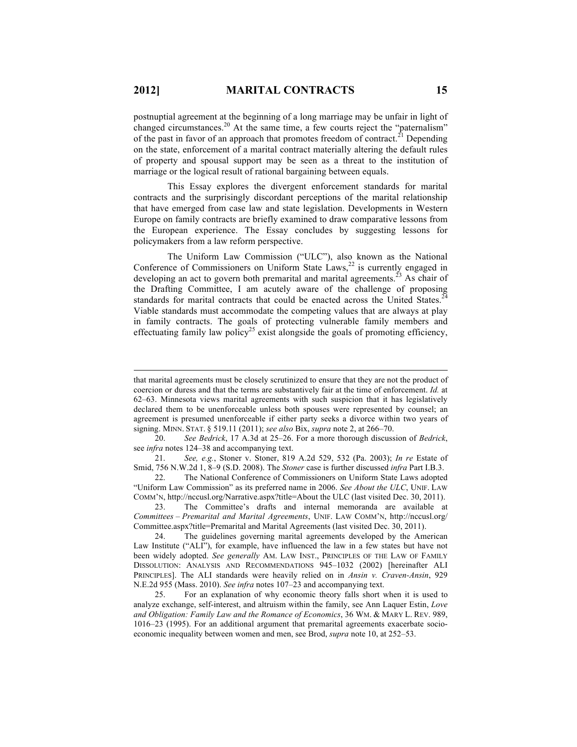postnuptial agreement at the beginning of a long marriage may be unfair in light of changed circumstances.<sup>20</sup> At the same time, a few courts reject the "paternalism" of the past in favor of an approach that promotes freedom of contract.<sup>21</sup> Depending on the state, enforcement of a marital contract materially altering the default rules of property and spousal support may be seen as a threat to the institution of marriage or the logical result of rational bargaining between equals.

This Essay explores the divergent enforcement standards for marital contracts and the surprisingly discordant perceptions of the marital relationship that have emerged from case law and state legislation. Developments in Western Europe on family contracts are briefly examined to draw comparative lessons from the European experience. The Essay concludes by suggesting lessons for policymakers from a law reform perspective.

The Uniform Law Commission ("ULC"), also known as the National Conference of Commissioners on Uniform State  $Laws<sub>1</sub><sup>22</sup>$  is currently engaged in developing an act to govern both premarital and marital agreements.<sup>23</sup> As chair of the Drafting Committee, I am acutely aware of the challenge of proposing standards for marital contracts that could be enacted across the United States.<sup>2</sup> Viable standards must accommodate the competing values that are always at play in family contracts. The goals of protecting vulnerable family members and effectuating family law policy<sup>25</sup> exist alongside the goals of promoting efficiency,

 21. *See, e.g.*, Stoner v. Stoner, 819 A.2d 529, 532 (Pa. 2003); *In re* Estate of Smid, 756 N.W.2d 1, 8–9 (S.D. 2008). The *Stoner* case is further discussed *infra* Part I.B.3.

 22. The National Conference of Commissioners on Uniform State Laws adopted "Uniform Law Commission" as its preferred name in 2006. *See About the ULC*, UNIF. LAW COMM'N, http://nccusl.org/Narrative.aspx?title=About the ULC (last visited Dec. 30, 2011).

 23. The Committee's drafts and internal memoranda are available at *Committees – Premarital and Marital Agreements*, UNIF. LAW COMM'N, http://nccusl.org/ Committee.aspx?title=Premarital and Marital Agreements (last visited Dec. 30, 2011).

 24. The guidelines governing marital agreements developed by the American Law Institute ("ALI"), for example, have influenced the law in a few states but have not been widely adopted. *See generally* AM. LAW INST., PRINCIPLES OF THE LAW OF FAMILY DISSOLUTION: ANALYSIS AND RECOMMENDATIONS 945–1032 (2002) [hereinafter ALI PRINCIPLES]. The ALI standards were heavily relied on in *Ansin v. Craven-Ansin*, 929 N.E.2d 955 (Mass. 2010). *See infra* notes 107–23 and accompanying text.

 25. For an explanation of why economic theory falls short when it is used to analyze exchange, self-interest, and altruism within the family, see Ann Laquer Estin, *Love and Obligation: Family Law and the Romance of Economics*, 36 WM. & MARY L. REV. 989, 1016–23 (1995). For an additional argument that premarital agreements exacerbate socioeconomic inequality between women and men, see Brod, *supra* note 10, at 252–53.

that marital agreements must be closely scrutinized to ensure that they are not the product of coercion or duress and that the terms are substantively fair at the time of enforcement. *Id.* at 62–63. Minnesota views marital agreements with such suspicion that it has legislatively declared them to be unenforceable unless both spouses were represented by counsel; an agreement is presumed unenforceable if either party seeks a divorce within two years of signing. MINN. STAT. § 519.11 (2011); *see also* Bix, *supra* note 2, at 266–70.

 <sup>20.</sup> *See Bedrick*, 17 A.3d at 25–26. For a more thorough discussion of *Bedrick*, see *infra* notes 124–38 and accompanying text.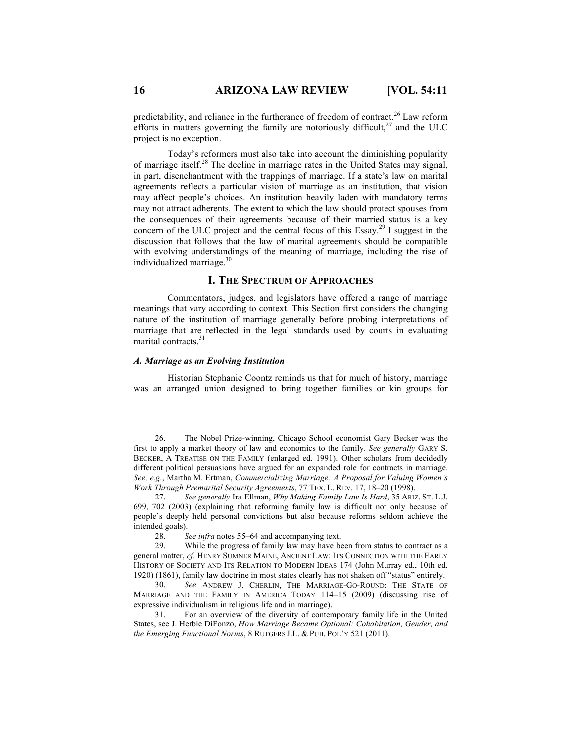predictability, and reliance in the furtherance of freedom of contract.<sup>26</sup> Law reform efforts in matters governing the family are notoriously difficult,  $27$  and the ULC project is no exception.

Today's reformers must also take into account the diminishing popularity of marriage itself.<sup>28</sup> The decline in marriage rates in the United States may signal, in part, disenchantment with the trappings of marriage. If a state's law on marital agreements reflects a particular vision of marriage as an institution, that vision may affect people's choices. An institution heavily laden with mandatory terms may not attract adherents. The extent to which the law should protect spouses from the consequences of their agreements because of their married status is a key concern of the ULC project and the central focus of this Essay. <sup>29</sup> I suggest in the discussion that follows that the law of marital agreements should be compatible with evolving understandings of the meaning of marriage, including the rise of individualized marriage.<sup>30</sup>

## **I. THE SPECTRUM OF APPROACHES**

Commentators, judges, and legislators have offered a range of marriage meanings that vary according to context. This Section first considers the changing nature of the institution of marriage generally before probing interpretations of marriage that are reflected in the legal standards used by courts in evaluating marital contracts.<sup>31</sup>

#### *A. Marriage as an Evolving Institution*

Historian Stephanie Coontz reminds us that for much of history, marriage was an arranged union designed to bring together families or kin groups for

 <sup>26.</sup> The Nobel Prize-winning, Chicago School economist Gary Becker was the first to apply a market theory of law and economics to the family. *See generally* GARY S. BECKER, A TREATISE ON THE FAMILY (enlarged ed. 1991). Other scholars from decidedly different political persuasions have argued for an expanded role for contracts in marriage. *See, e.g.*, Martha M. Ertman, *Commercializing Marriage: A Proposal for Valuing Women's Work Through Premarital Security Agreements*, 77 TEX. L. REV. 17, 18–20 (1998).

 <sup>27.</sup> *See generally* Ira Ellman, *Why Making Family Law Is Hard*, 35 ARIZ. ST. L.J. 699, 702 (2003) (explaining that reforming family law is difficult not only because of people's deeply held personal convictions but also because reforms seldom achieve the intended goals).

 <sup>28.</sup> *See infra* notes 55–64 and accompanying text.

 <sup>29.</sup> While the progress of family law may have been from status to contract as a general matter, *cf.* HENRY SUMNER MAINE, ANCIENT LAW: ITS CONNECTION WITH THE EARLY HISTORY OF SOCIETY AND ITS RELATION TO MODERN IDEAS 174 (John Murray ed., 10th ed. 1920) (1861), family law doctrine in most states clearly has not shaken off "status" entirely.

 <sup>30.</sup> *See* ANDREW J. CHERLIN, THE MARRIAGE-GO-ROUND: THE STATE OF MARRIAGE AND THE FAMILY IN AMERICA TODAY 114–15 (2009) (discussing rise of expressive individualism in religious life and in marriage).

 <sup>31.</sup> For an overview of the diversity of contemporary family life in the United States, see J. Herbie DiFonzo, *How Marriage Became Optional: Cohabitation, Gender, and the Emerging Functional Norms*, 8 RUTGERS J.L. & PUB. POL'Y 521 (2011).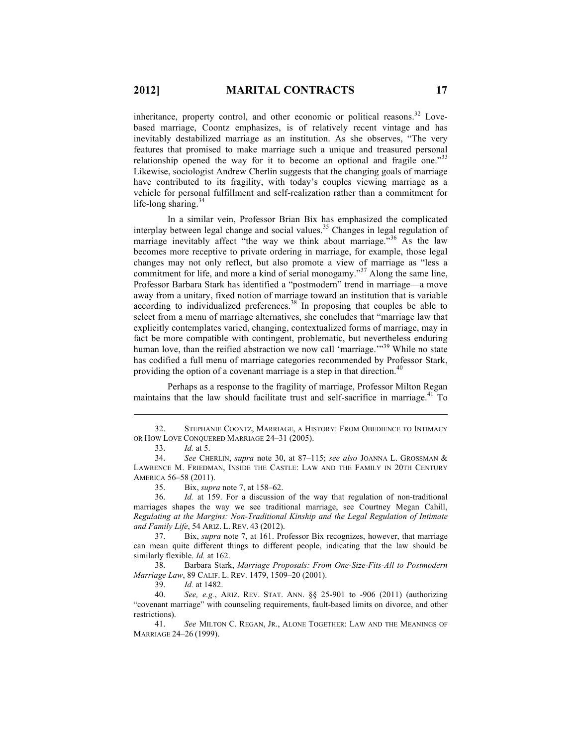inheritance, property control, and other economic or political reasons.<sup>32</sup> Lovebased marriage, Coontz emphasizes, is of relatively recent vintage and has inevitably destabilized marriage as an institution. As she observes, "The very features that promised to make marriage such a unique and treasured personal relationship opened the way for it to become an optional and fragile one."<sup>33</sup> Likewise, sociologist Andrew Cherlin suggests that the changing goals of marriage have contributed to its fragility, with today's couples viewing marriage as a vehicle for personal fulfillment and self-realization rather than a commitment for life-long sharing.<sup>34</sup>

In a similar vein, Professor Brian Bix has emphasized the complicated interplay between legal change and social values.<sup>35</sup> Changes in legal regulation of marriage inevitably affect "the way we think about marriage."<sup>36</sup> As the law becomes more receptive to private ordering in marriage, for example, those legal changes may not only reflect, but also promote a view of marriage as "less a commitment for life, and more a kind of serial monogamy."<sup>37</sup> Along the same line, Professor Barbara Stark has identified a "postmodern" trend in marriage—a move away from a unitary, fixed notion of marriage toward an institution that is variable according to individualized preferences.<sup>38</sup> In proposing that couples be able to select from a menu of marriage alternatives, she concludes that "marriage law that explicitly contemplates varied, changing, contextualized forms of marriage, may in fact be more compatible with contingent, problematic, but nevertheless enduring human love, than the reified abstraction we now call 'marriage.'"<sup>39</sup> While no state has codified a full menu of marriage categories recommended by Professor Stark, providing the option of a covenant marriage is a step in that direction.<sup>40</sup>

Perhaps as a response to the fragility of marriage, Professor Milton Regan maintains that the law should facilitate trust and self-sacrifice in marriage.<sup>41</sup> To

33. *Id.* at 5.

 $\overline{a}$ 

35. Bix, *supra* note 7, at 158–62.

 36. *Id.* at 159. For a discussion of the way that regulation of non-traditional marriages shapes the way we see traditional marriage, see Courtney Megan Cahill, *Regulating at the Margins: Non-Traditional Kinship and the Legal Regulation of Intimate and Family Life*, 54 ARIZ. L. REV. 43 (2012).

 37. Bix, *supra* note 7, at 161. Professor Bix recognizes, however, that marriage can mean quite different things to different people, indicating that the law should be similarly flexible. *Id.* at 162.

 38. Barbara Stark, *Marriage Proposals: From One-Size-Fits-All to Postmodern Marriage Law*, 89 CALIF. L. REV. 1479, 1509–20 (2001).

39. *Id.* at 1482.

 40. *See, e.g.*, ARIZ. REV. STAT. ANN. §§ 25-901 to -906 (2011) (authorizing "covenant marriage" with counseling requirements, fault-based limits on divorce, and other restrictions).<br>41.

See MILTON C. REGAN, JR., ALONE TOGETHER: LAW AND THE MEANINGS OF MARRIAGE 24–26 (1999).

 <sup>32.</sup> STEPHANIE COONTZ, MARRIAGE, A HISTORY: FROM OBEDIENCE TO INTIMACY OR HOW LOVE CONQUERED MARRIAGE 24–31 (2005).

 <sup>34.</sup> *See* CHERLIN, *supra* note 30, at 87–115; *see also* JOANNA L. GROSSMAN & LAWRENCE M. FRIEDMAN, INSIDE THE CASTLE: LAW AND THE FAMILY IN 20TH CENTURY AMERICA 56–58 (2011).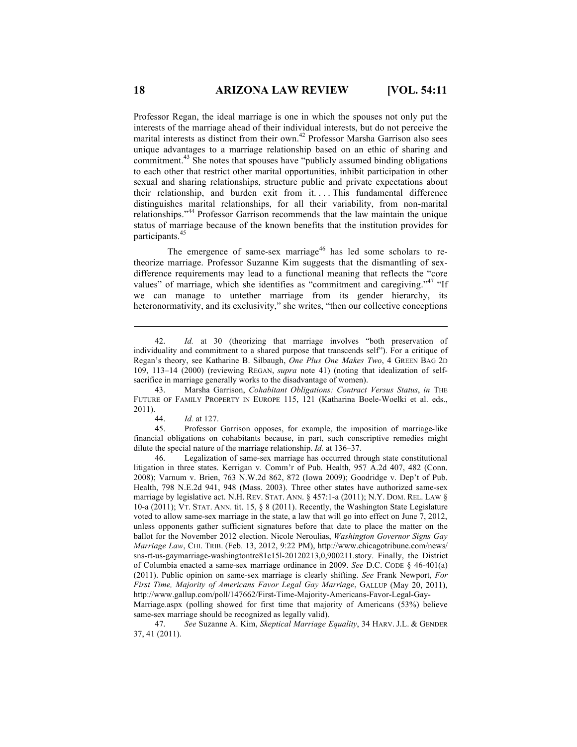Professor Regan, the ideal marriage is one in which the spouses not only put the interests of the marriage ahead of their individual interests, but do not perceive the marital interests as distinct from their own.<sup>42</sup> Professor Marsha Garrison also sees unique advantages to a marriage relationship based on an ethic of sharing and commitment.<sup>43</sup> She notes that spouses have "publicly assumed binding obligations" to each other that restrict other marital opportunities, inhibit participation in other sexual and sharing relationships, structure public and private expectations about their relationship, and burden exit from it. . . . This fundamental difference distinguishes marital relationships, for all their variability, from non-marital relationships."<sup>44</sup> Professor Garrison recommends that the law maintain the unique status of marriage because of the known benefits that the institution provides for participants.<sup>45</sup>

The emergence of same-sex marriage<sup>46</sup> has led some scholars to retheorize marriage. Professor Suzanne Kim suggests that the dismantling of sexdifference requirements may lead to a functional meaning that reflects the "core values" of marriage, which she identifies as "commitment and caregiving."<sup>47</sup> "If we can manage to untether marriage from its gender hierarchy, its heteronormativity, and its exclusivity," she writes, "then our collective conceptions

 43. Marsha Garrison, *Cohabitant Obligations: Contract Versus Status*, *in* THE FUTURE OF FAMILY PROPERTY IN EUROPE 115, 121 (Katharina Boele-Woelki et al. eds.,  $2011$ ).<br>44.

*Id.* at 127

 45. Professor Garrison opposes, for example, the imposition of marriage-like financial obligations on cohabitants because, in part, such conscriptive remedies might dilute the special nature of the marriage relationship. *Id.* at 136–37.

 46. Legalization of same-sex marriage has occurred through state constitutional litigation in three states. Kerrigan v. Comm'r of Pub. Health, 957 A.2d 407, 482 (Conn. 2008); Varnum v. Brien, 763 N.W.2d 862, 872 (Iowa 2009); Goodridge v. Dep't of Pub. Health, 798 N.E.2d 941, 948 (Mass. 2003). Three other states have authorized same-sex marriage by legislative act. N.H. REV. STAT. ANN. § 457:1-a (2011); N.Y. DOM. REL. LAW § 10-a (2011); VT. STAT. ANN. tit. 15, § 8 (2011). Recently, the Washington State Legislature voted to allow same-sex marriage in the state, a law that will go into effect on June 7, 2012, unless opponents gather sufficient signatures before that date to place the matter on the ballot for the November 2012 election. Nicole Neroulias, *Washington Governor Signs Gay Marriage Law*, CHI. TRIB. (Feb. 13, 2012, 9:22 PM), http://www.chicagotribune.com/news/ sns-rt-us-gaymarriage-washingtontre81c15l-20120213,0,900211.story. Finally, the District of Columbia enacted a same-sex marriage ordinance in 2009. *See* D.C. CODE § 46-401(a) (2011). Public opinion on same-sex marriage is clearly shifting. *See* Frank Newport, *For First Time, Majority of Americans Favor Legal Gay Marriage*, GALLUP (May 20, 2011), http://www.gallup.com/poll/147662/First-Time-Majority-Americans-Favor-Legal-Gay-

Marriage.aspx (polling showed for first time that majority of Americans (53%) believe same-sex marriage should be recognized as legally valid).

 47. *See* Suzanne A. Kim, *Skeptical Marriage Equality*, 34 HARV. J.L. & GENDER 37, 41 (2011).

 <sup>42.</sup> *Id.* at 30 (theorizing that marriage involves "both preservation of individuality and commitment to a shared purpose that transcends self"). For a critique of Regan's theory, see Katharine B. Silbaugh, *One Plus One Makes Two*, 4 GREEN BAG 2D 109, 113–14 (2000) (reviewing REGAN, *supra* note 41) (noting that idealization of selfsacrifice in marriage generally works to the disadvantage of women).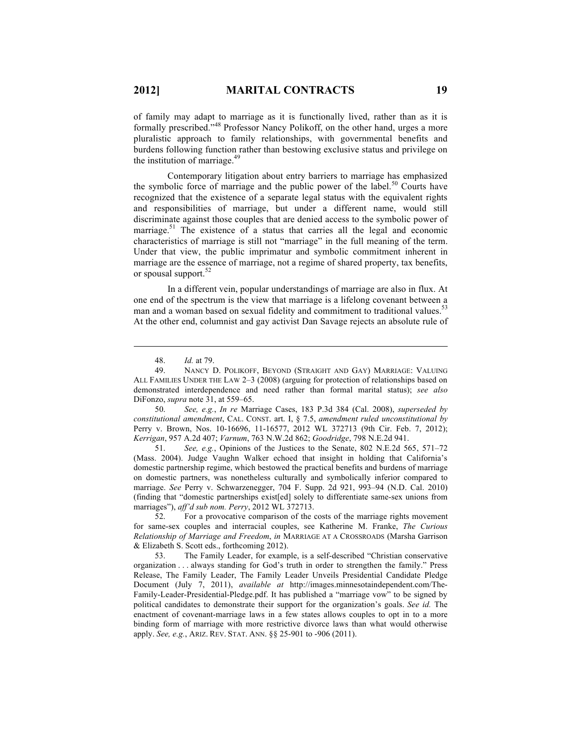of family may adapt to marriage as it is functionally lived, rather than as it is formally prescribed."<sup>48</sup> Professor Nancy Polikoff, on the other hand, urges a more pluralistic approach to family relationships, with governmental benefits and burdens following function rather than bestowing exclusive status and privilege on the institution of marriage.<sup>49</sup>

Contemporary litigation about entry barriers to marriage has emphasized the symbolic force of marriage and the public power of the label.<sup>50</sup> Courts have recognized that the existence of a separate legal status with the equivalent rights and responsibilities of marriage, but under a different name, would still discriminate against those couples that are denied access to the symbolic power of marriage.<sup>51</sup> The existence of a status that carries all the legal and economic characteristics of marriage is still not "marriage" in the full meaning of the term. Under that view, the public imprimatur and symbolic commitment inherent in marriage are the essence of marriage, not a regime of shared property, tax benefits, or spousal support.<sup>52</sup>

In a different vein, popular understandings of marriage are also in flux. At one end of the spectrum is the view that marriage is a lifelong covenant between a man and a woman based on sexual fidelity and commitment to traditional values.<sup>53</sup> At the other end, columnist and gay activist Dan Savage rejects an absolute rule of

 $\overline{a}$ 

 50. *See, e.g.*, *In re* Marriage Cases, 183 P.3d 384 (Cal. 2008), *superseded by constitutional amendment*, CAL. CONST. art. I, § 7.5, *amendment ruled unconstitutional by* Perry v. Brown, Nos. 10-16696, 11-16577, 2012 WL 372713 (9th Cir. Feb. 7, 2012); *Kerrigan*, 957 A.2d 407; *Varnum*, 763 N.W.2d 862; *Goodridge*, 798 N.E.2d 941.

 51. *See, e.g.*, Opinions of the Justices to the Senate, 802 N.E.2d 565, 571–72 (Mass. 2004). Judge Vaughn Walker echoed that insight in holding that California's domestic partnership regime, which bestowed the practical benefits and burdens of marriage on domestic partners, was nonetheless culturally and symbolically inferior compared to marriage. *See* Perry v. Schwarzenegger, 704 F. Supp. 2d 921, 993–94 (N.D. Cal. 2010) (finding that "domestic partnerships exist[ed] solely to differentiate same-sex unions from marriages"), *aff'd sub nom. Perry*, 2012 WL 372713.

 52. For a provocative comparison of the costs of the marriage rights movement for same-sex couples and interracial couples, see Katherine M. Franke, *The Curious Relationship of Marriage and Freedom*, *in* MARRIAGE AT A CROSSROADS (Marsha Garrison & Elizabeth S. Scott eds., forthcoming 2012).

 53. The Family Leader, for example, is a self-described "Christian conservative organization . . . always standing for God's truth in order to strengthen the family." Press Release, The Family Leader, The Family Leader Unveils Presidential Candidate Pledge Document (July 7, 2011), *available at* http://images.minnesotaindependent.com/The-Family-Leader-Presidential-Pledge.pdf. It has published a "marriage vow" to be signed by political candidates to demonstrate their support for the organization's goals. *See id.* The enactment of covenant-marriage laws in a few states allows couples to opt in to a more binding form of marriage with more restrictive divorce laws than what would otherwise apply. *See, e.g.*, ARIZ. REV. STAT. ANN. §§ 25-901 to -906 (2011).

 <sup>48.</sup> *Id.* at 79.

 <sup>49.</sup> NANCY D. POLIKOFF, BEYOND (STRAIGHT AND GAY) MARRIAGE: VALUING ALL FAMILIES UNDER THE LAW 2–3 (2008) (arguing for protection of relationships based on demonstrated interdependence and need rather than formal marital status); *see also* DiFonzo, *supra* note 31, at 559–65.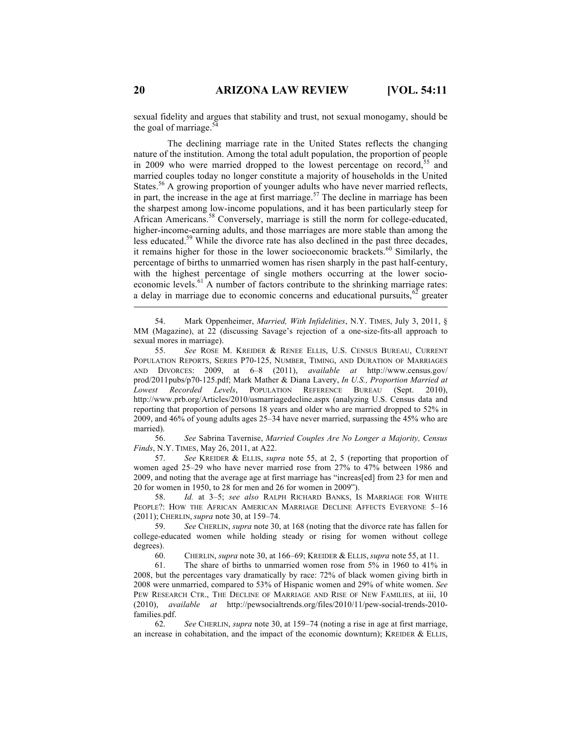sexual fidelity and argues that stability and trust, not sexual monogamy, should be the goal of marriage. $\frac{3}{4}$ 

The declining marriage rate in the United States reflects the changing nature of the institution. Among the total adult population, the proportion of people in 2009 who were married dropped to the lowest percentage on record,<sup>55</sup> and married couples today no longer constitute a majority of households in the United States.<sup>56</sup> A growing proportion of younger adults who have never married reflects, in part, the increase in the age at first marriage.<sup>57</sup> The decline in marriage has been the sharpest among low-income populations, and it has been particularly steep for African Americans.<sup>58</sup> Conversely, marriage is still the norm for college-educated, higher-income-earning adults, and those marriages are more stable than among the less educated.59 While the divorce rate has also declined in the past three decades, it remains higher for those in the lower socioeconomic brackets.<sup>60</sup> Similarly, the percentage of births to unmarried women has risen sharply in the past half-century, with the highest percentage of single mothers occurring at the lower socioeconomic levels.<sup>61</sup> A number of factors contribute to the shrinking marriage rates: a delay in marriage due to economic concerns and educational pursuits,  $62$  greater

 54. Mark Oppenheimer, *Married, With Infidelities*, N.Y. TIMES, July 3, 2011, § MM (Magazine), at 22 (discussing Savage's rejection of a one-size-fits-all approach to sexual mores in marriage).

 55. *See* ROSE M. KREIDER & RENEE ELLIS, U.S. CENSUS BUREAU, CURRENT POPULATION REPORTS, SERIES P70-125, NUMBER, TIMING, AND DURATION OF MARRIAGES AND DIVORCES: 2009, at 6–8 (2011), *available at* http://www.census.gov/ prod/2011pubs/p70-125.pdf; Mark Mather & Diana Lavery, *In U.S., Proportion Married at Lowest Recorded Levels*, POPULATION REFERENCE BUREAU (Sept. 2010), http://www.prb.org/Articles/2010/usmarriagedecline.aspx (analyzing U.S. Census data and reporting that proportion of persons 18 years and older who are married dropped to 52% in 2009, and 46% of young adults ages 25–34 have never married, surpassing the 45% who are married).

 56. *See* Sabrina Tavernise, *Married Couples Are No Longer a Majority, Census Finds*, N.Y. TIMES, May 26, 2011, at A22.

 57. *See* KREIDER & ELLIS, *supra* note 55, at 2, 5 (reporting that proportion of women aged 25–29 who have never married rose from 27% to 47% between 1986 and 2009, and noting that the average age at first marriage has "increas[ed] from 23 for men and 20 for women in 1950, to 28 for men and 26 for women in 2009").

 58. *Id.* at 3–5; *see also* RALPH RICHARD BANKS, IS MARRIAGE FOR WHITE PEOPLE?: HOW THE AFRICAN AMERICAN MARRIAGE DECLINE AFFECTS EVERYONE 5–16 (2011); CHERLIN, *supra* note 30, at 159–74.

 59. *See* CHERLIN, *supra* note 30, at 168 (noting that the divorce rate has fallen for college-educated women while holding steady or rising for women without college degrees).

60. CHERLIN, *supra* note 30, at 166–69; KREIDER & ELLIS, *supra* note 55, at 11.

 61. The share of births to unmarried women rose from 5% in 1960 to 41% in 2008, but the percentages vary dramatically by race: 72% of black women giving birth in 2008 were unmarried, compared to 53% of Hispanic women and 29% of white women. *See* PEW RESEARCH CTR., THE DECLINE OF MARRIAGE AND RISE OF NEW FAMILIES, at iii, 10 (2010), *available at* http://pewsocialtrends.org/files/2010/11/pew-social-trends-2010 families.pdf.

 62. *See* CHERLIN, *supra* note 30, at 159–74 (noting a rise in age at first marriage, an increase in cohabitation, and the impact of the economic downturn); KREIDER  $&$  ELLIS,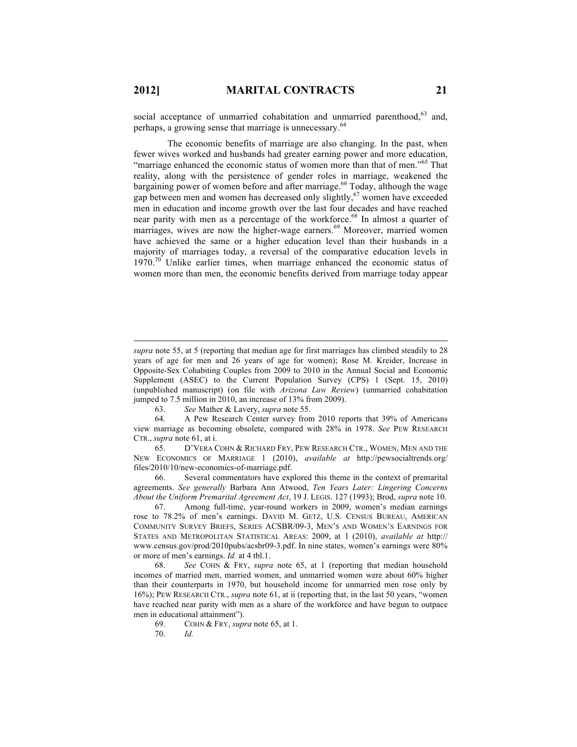$\overline{a}$ 

social acceptance of unmarried cohabitation and unmarried parenthood, $63$  and, perhaps, a growing sense that marriage is unnecessary.<sup>64</sup>

The economic benefits of marriage are also changing. In the past, when fewer wives worked and husbands had greater earning power and more education, "marriage enhanced the economic status of women more than that of men."<sup>65</sup> That reality, along with the persistence of gender roles in marriage, weakened the bargaining power of women before and after marriage.<sup>66</sup> Today, although the wage gap between men and women has decreased only slightly,<sup>67</sup> women have exceeded men in education and income growth over the last four decades and have reached near parity with men as a percentage of the workforce. <sup>68</sup> In almost a quarter of marriages, wives are now the higher-wage earners.<sup>69</sup> Moreover, married women have achieved the same or a higher education level than their husbands in a majority of marriages today, a reversal of the comparative education levels in  $1970<sup>70</sup>$  Unlike earlier times, when marriage enhanced the economic status of women more than men, the economic benefits derived from marriage today appear

*supra* note 55, at 5 (reporting that median age for first marriages has climbed steadily to 28 years of age for men and 26 years of age for women); Rose M. Kreider, Increase in Opposite-Sex Cohabiting Couples from 2009 to 2010 in the Annual Social and Economic Supplement (ASEC) to the Current Population Survey (CPS) 1 (Sept. 15, 2010) (unpublished manuscript) (on file with *Arizona Law Review*) (unmarried cohabitation jumped to 7.5 million in 2010, an increase of 13% from 2009).

 <sup>63.</sup> *See* Mather & Lavery, *supra* note 55.

 <sup>64.</sup> A Pew Research Center survey from 2010 reports that 39% of Americans view marriage as becoming obsolete, compared with 28% in 1978. *See* PEW RESEARCH CTR., *supra* note 61, at i.

 <sup>65.</sup> D'VERA COHN & RICHARD FRY, PEW RESEARCH CTR., WOMEN, MEN AND THE NEW ECONOMICS OF MARRIAGE 1 (2010), *available at* http://pewsocialtrends.org/ files/2010/10/new-economics-of-marriage.pdf.

 <sup>66.</sup> Several commentators have explored this theme in the context of premarital agreements. *See generally* Barbara Ann Atwood, *Ten Years Later: Lingering Concerns About the Uniform Premarital Agreement Act*, 19 J. LEGIS. 127 (1993); Brod, *supra* note 10.

 <sup>67.</sup> Among full-time, year-round workers in 2009, women's median earnings rose to 78.2% of men's earnings. DAVID M. GETZ, U.S. CENSUS BUREAU, AMERICAN COMMUNITY SURVEY BRIEFS, SERIES ACSBR/09-3, MEN'S AND WOMEN'S EARNINGS FOR STATES AND METROPOLITAN STATISTICAL AREAS: 2009, at 1 (2010), *available at* http:// www.census.gov/prod/2010pubs/acsbr09-3.pdf. In nine states, women's earnings were 80% or more of men's earnings. *Id.* at 4 tbl.1.

 <sup>68.</sup> *See* COHN & FRY, *supra* note 65, at 1 (reporting that median household incomes of married men, married women, and unmarried women were about 60% higher than their counterparts in 1970, but household income for unmarried men rose only by 16%); PEW RESEARCH CTR., *supra* note 61, at ii (reporting that, in the last 50 years, "women have reached near parity with men as a share of the workforce and have begun to outpace men in educational attainment").

 <sup>69.</sup> COHN & FRY, *supra* note 65, at 1.

 <sup>70.</sup> *Id.*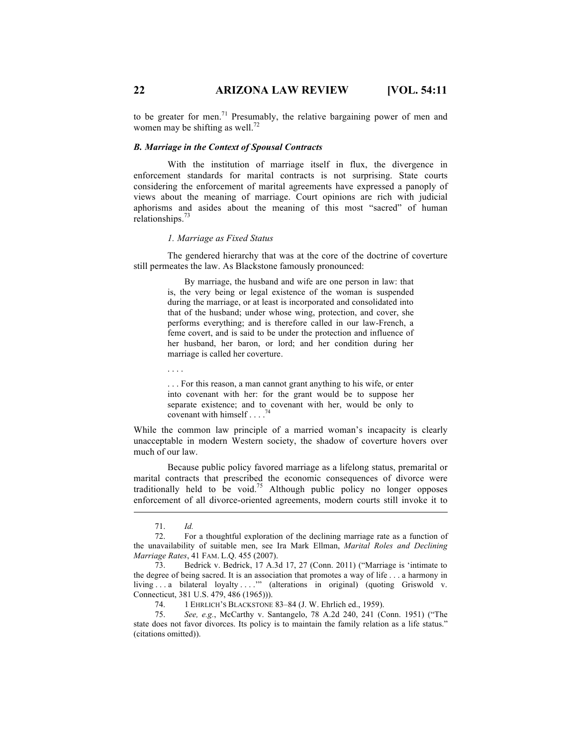to be greater for men.<sup>71</sup> Presumably, the relative bargaining power of men and women may be shifting as well.<sup>72</sup>

#### *B. Marriage in the Context of Spousal Contracts*

With the institution of marriage itself in flux, the divergence in enforcement standards for marital contracts is not surprising. State courts considering the enforcement of marital agreements have expressed a panoply of views about the meaning of marriage. Court opinions are rich with judicial aphorisms and asides about the meaning of this most "sacred" of human relationships.<sup>73</sup>

## *1. Marriage as Fixed Status*

The gendered hierarchy that was at the core of the doctrine of coverture still permeates the law. As Blackstone famously pronounced:

> By marriage, the husband and wife are one person in law: that is, the very being or legal existence of the woman is suspended during the marriage, or at least is incorporated and consolidated into that of the husband; under whose wing, protection, and cover, she performs everything; and is therefore called in our law-French, a feme covert, and is said to be under the protection and influence of her husband, her baron, or lord; and her condition during her marriage is called her coverture.

. . . .

. . . For this reason, a man cannot grant anything to his wife, or enter into covenant with her: for the grant would be to suppose her separate existence; and to covenant with her, would be only to covenant with himself  $\ldots$ .<sup>74</sup>

While the common law principle of a married woman's incapacity is clearly unacceptable in modern Western society, the shadow of coverture hovers over much of our law.

Because public policy favored marriage as a lifelong status, premarital or marital contracts that prescribed the economic consequences of divorce were traditionally held to be void.<sup>75</sup> Although public policy no longer opposes enforcement of all divorce-oriented agreements, modern courts still invoke it to

 $\overline{a}$ 

74. 1 EHRLICH'S BLACKSTONE 83–84 (J. W. Ehrlich ed., 1959).

 75. *See, e.g.*, McCarthy v. Santangelo, 78 A.2d 240, 241 (Conn. 1951) ("The state does not favor divorces. Its policy is to maintain the family relation as a life status." (citations omitted)).

 <sup>71.</sup> *Id.*

 <sup>72.</sup> For a thoughtful exploration of the declining marriage rate as a function of the unavailability of suitable men, see Ira Mark Ellman, *Marital Roles and Declining Marriage Rates*, 41 FAM. L.Q. 455 (2007).

<sup>73.</sup> Bedrick v. Bedrick, 17 A.3d 17, 27 (Conn. 2011) ("Marriage is 'intimate to the degree of being sacred. It is an association that promotes a way of life . . . a harmony in living ... a bilateral loyalty ...." (alterations in original) (quoting Griswold v. Connecticut, 381 U.S. 479, 486 (1965))).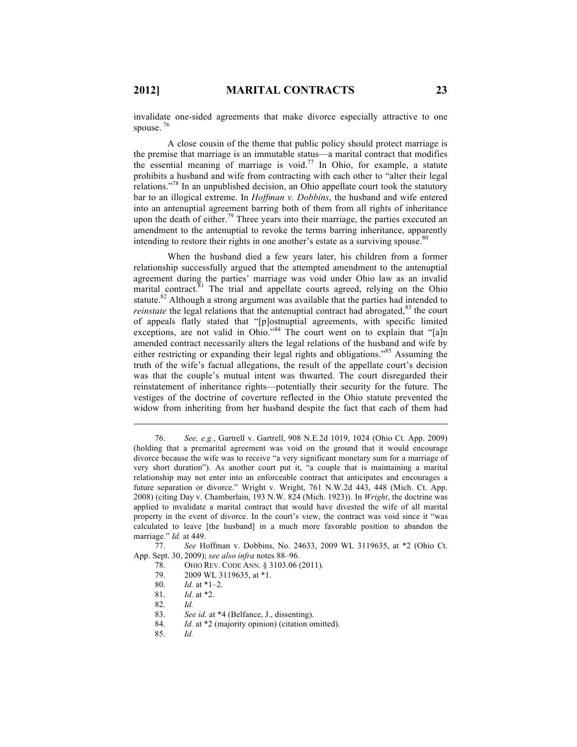invalidate one-sided agreements that make divorce especially attractive to one spouse.<sup>76</sup>

A close cousin of the theme that public policy should protect marriage is the premise that marriage is an immutable status—a marital contract that modifies the essential meaning of marriage is void.<sup>77</sup> In Ohio, for example, a statute prohibits a husband and wife from contracting with each other to "alter their legal relations."<sup>78</sup> In an unpublished decision, an Ohio appellate court took the statutory bar to an illogical extreme. In *Hoffman v. Dobbins*, the husband and wife entered into an antenuptial agreement barring both of them from all rights of inheritance upon the death of either.<sup>79</sup> Three years into their marriage, the parties executed an amendment to the antenuptial to revoke the terms barring inheritance, apparently intending to restore their rights in one another's estate as a surviving spouse. $80$ 

When the husband died a few years later, his children from a former relationship successfully argued that the attempted amendment to the antenuptial agreement during the parties' marriage was void under Ohio law as an invalid marital contract.<sup>81</sup> The trial and appellate courts agreed, relying on the Ohio statute.<sup>82</sup> Although a strong argument was available that the parties had intended to *reinstate* the legal relations that the antenuptial contract had abrogated, $83$  the court of appeals flatly stated that "[p]ostnuptial agreements, with specific limited exceptions, are not valid in Ohio."<sup>84</sup> The court went on to explain that "[a]n amended contract necessarily alters the legal relations of the husband and wife by either restricting or expanding their legal rights and obligations."<sup>85</sup> Assuming the truth of the wife's factual allegations, the result of the appellate court's decision was that the couple's mutual intent was thwarted. The court disregarded their reinstatement of inheritance rights—potentially their security for the future. The vestiges of the doctrine of coverture reflected in the Ohio statute prevented the widow from inheriting from her husband despite the fact that each of them had

 77. *See* Hoffman v. Dobbins, No. 24633, 2009 WL 3119635, at \*2 (Ohio Ct. App. Sept. 30, 2009); *see also infra* notes 88–96.

- 79. 2009 WL 3119635, at \*1.
- 80. *Id.* at \*1–2.
- 81. *Id.* at \*2.
- 82. *Id.*

- 83. *See id*. at \*4 (Belfance, J., dissenting).
- 84. *Id.* at \*2 (majority opinion) (citation omitted).
- 85. *Id.*

 <sup>76.</sup> *See, e.g.*, Gartrell v. Gartrell, 908 N.E.2d 1019, 1024 (Ohio Ct. App. 2009) (holding that a premarital agreement was void on the ground that it would encourage divorce because the wife was to receive "a very significant monetary sum for a marriage of very short duration"). As another court put it, "a couple that is maintaining a marital relationship may not enter into an enforceable contract that anticipates and encourages a future separation or divorce." Wright v. Wright, 761 N.W.2d 443, 448 (Mich. Ct. App. 2008) (citing Day v. Chamberlain, 193 N.W. 824 (Mich. 1923)). In *Wright*, the doctrine was applied to invalidate a marital contract that would have divested the wife of all marital property in the event of divorce. In the court's view, the contract was void since it "was calculated to leave [the husband] in a much more favorable position to abandon the marriage." *Id.* at 449.

 <sup>78.</sup> OHIO REV. CODE ANN. § 3103.06 (2011).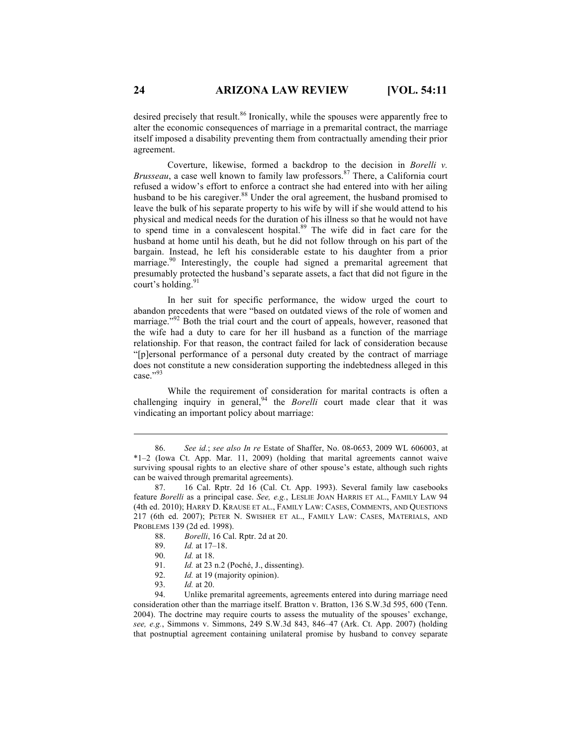desired precisely that result.<sup>86</sup> Ironically, while the spouses were apparently free to alter the economic consequences of marriage in a premarital contract, the marriage itself imposed a disability preventing them from contractually amending their prior agreement.

Coverture, likewise, formed a backdrop to the decision in *Borelli v. Brusseau*, a case well known to family law professors.<sup>87</sup> There, a California court refused a widow's effort to enforce a contract she had entered into with her ailing husband to be his caregiver.<sup>88</sup> Under the oral agreement, the husband promised to leave the bulk of his separate property to his wife by will if she would attend to his physical and medical needs for the duration of his illness so that he would not have to spend time in a convalescent hospital.<sup>89</sup> The wife did in fact care for the husband at home until his death, but he did not follow through on his part of the bargain. Instead, he left his considerable estate to his daughter from a prior marriage.<sup>90</sup> Interestingly, the couple had signed a premarital agreement that presumably protected the husband's separate assets, a fact that did not figure in the court's holding.  $91$ 

In her suit for specific performance, the widow urged the court to abandon precedents that were "based on outdated views of the role of women and marriage."<sup>92</sup> Both the trial court and the court of appeals, however, reasoned that the wife had a duty to care for her ill husband as a function of the marriage relationship. For that reason, the contract failed for lack of consideration because "[p]ersonal performance of a personal duty created by the contract of marriage does not constitute a new consideration supporting the indebtedness alleged in this case."93

While the requirement of consideration for marital contracts is often a challenging inquiry in general,<sup>94</sup> the *Borelli* court made clear that it was vindicating an important policy about marriage:

- 89. *Id.* at 17–18.
- 90. *Id.* at 18.
- 91. *Id.* at 23 n.2 (Poché, J., dissenting).
- 92. *Id.* at 19 (majority opinion).
- 93. *Id.* at 20.

 94. Unlike premarital agreements, agreements entered into during marriage need consideration other than the marriage itself. Bratton v. Bratton, 136 S.W.3d 595, 600 (Tenn. 2004). The doctrine may require courts to assess the mutuality of the spouses' exchange, *see, e.g.*, Simmons v. Simmons, 249 S.W.3d 843, 846–47 (Ark. Ct. App. 2007) (holding that postnuptial agreement containing unilateral promise by husband to convey separate

 <sup>86.</sup> *See id.*; *see also In re* Estate of Shaffer, No. 08-0653, 2009 WL 606003, at \*1–2 (Iowa Ct. App. Mar. 11, 2009) (holding that marital agreements cannot waive surviving spousal rights to an elective share of other spouse's estate, although such rights can be waived through premarital agreements).

 <sup>87.</sup> 16 Cal. Rptr. 2d 16 (Cal. Ct. App. 1993). Several family law casebooks feature *Borelli* as a principal case. *See, e.g.*, LESLIE JOAN HARRIS ET AL., FAMILY LAW 94 (4th ed. 2010); HARRY D. KRAUSE ET AL., FAMILY LAW: CASES, COMMENTS, AND QUESTIONS 217 (6th ed. 2007); PETER N. SWISHER ET AL., FAMILY LAW: CASES, MATERIALS, AND PROBLEMS 139 (2d ed. 1998).

 <sup>88.</sup> *Borelli*, 16 Cal. Rptr. 2d at 20.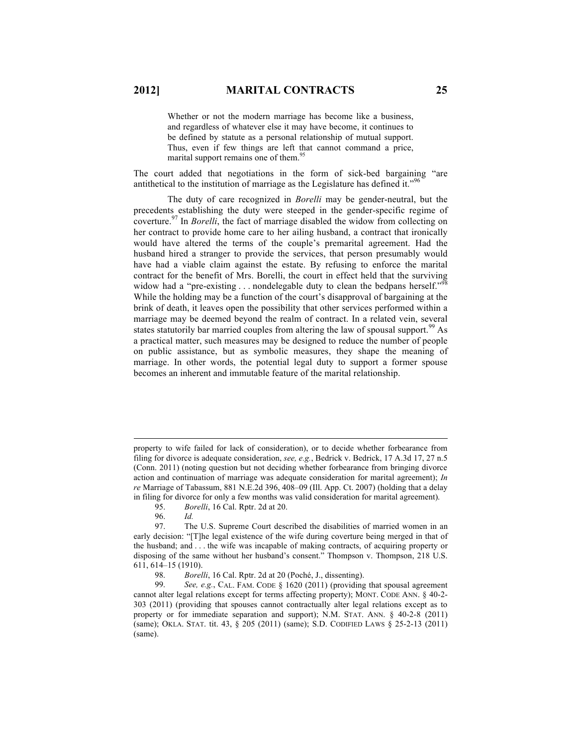Whether or not the modern marriage has become like a business, and regardless of whatever else it may have become, it continues to be defined by statute as a personal relationship of mutual support. Thus, even if few things are left that cannot command a price, marital support remains one of them.<sup>95</sup>

The court added that negotiations in the form of sick-bed bargaining "are antithetical to the institution of marriage as the Legislature has defined it."<sup>96</sup>

The duty of care recognized in *Borelli* may be gender-neutral, but the precedents establishing the duty were steeped in the gender-specific regime of coverture.<sup>97</sup> In *Borelli*, the fact of marriage disabled the widow from collecting on her contract to provide home care to her ailing husband, a contract that ironically would have altered the terms of the couple's premarital agreement. Had the husband hired a stranger to provide the services, that person presumably would have had a viable claim against the estate. By refusing to enforce the marital contract for the benefit of Mrs. Borelli, the court in effect held that the surviving widow had a "pre-existing . . . nondelegable duty to clean the bedpans herself."<sup>98</sup> While the holding may be a function of the court's disapproval of bargaining at the brink of death, it leaves open the possibility that other services performed within a marriage may be deemed beyond the realm of contract. In a related vein, several states statutorily bar married couples from altering the law of spousal support.<sup>99</sup> As a practical matter, such measures may be designed to reduce the number of people on public assistance, but as symbolic measures, they shape the meaning of marriage. In other words, the potential legal duty to support a former spouse becomes an inherent and immutable feature of the marital relationship.

property to wife failed for lack of consideration), or to decide whether forbearance from filing for divorce is adequate consideration, *see, e.g.*, Bedrick v. Bedrick, 17 A.3d 17, 27 n.5 (Conn. 2011) (noting question but not deciding whether forbearance from bringing divorce action and continuation of marriage was adequate consideration for marital agreement); *In re* Marriage of Tabassum, 881 N.E.2d 396, 408–09 (Ill. App. Ct. 2007) (holding that a delay in filing for divorce for only a few months was valid consideration for marital agreement).

 <sup>95.</sup> *Borelli*, 16 Cal. Rptr. 2d at 20.

 <sup>96.</sup> *Id.*

 <sup>97.</sup> The U.S. Supreme Court described the disabilities of married women in an early decision: "[T]he legal existence of the wife during coverture being merged in that of the husband; and . . . the wife was incapable of making contracts, of acquiring property or disposing of the same without her husband's consent." Thompson v. Thompson, 218 U.S. 611, 614–15 (1910).

 <sup>98.</sup> *Borelli*, 16 Cal. Rptr. 2d at 20 (Poché, J., dissenting).

 <sup>99.</sup> *See, e.g.*, CAL. FAM. CODE § 1620 (2011) (providing that spousal agreement cannot alter legal relations except for terms affecting property); MONT. CODE ANN. § 40-2- 303 (2011) (providing that spouses cannot contractually alter legal relations except as to property or for immediate separation and support); N.M. STAT. ANN. § 40-2-8 (2011) (same); OKLA. STAT. tit. 43, § 205 (2011) (same); S.D. CODIFIED LAWS § 25-2-13 (2011) (same).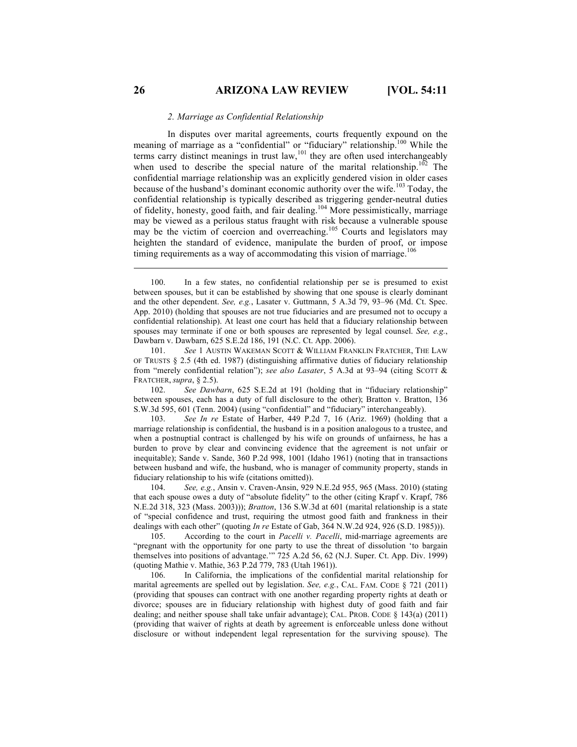#### *2. Marriage as Confidential Relationship*

In disputes over marital agreements, courts frequently expound on the meaning of marriage as a "confidential" or "fiduciary" relationship.<sup>100</sup> While the terms carry distinct meanings in trust law,<sup>101</sup> they are often used interchangeably when used to describe the special nature of the marital relationship.<sup>102</sup> The confidential marriage relationship was an explicitly gendered vision in older cases because of the husband's dominant economic authority over the wife.<sup>103</sup> Today, the confidential relationship is typically described as triggering gender-neutral duties of fidelity, honesty, good faith, and fair dealing.<sup>104</sup> More pessimistically, marriage may be viewed as a perilous status fraught with risk because a vulnerable spouse may be the victim of coercion and overreaching.<sup>105</sup> Courts and legislators may heighten the standard of evidence, manipulate the burden of proof, or impose timing requirements as a way of accommodating this vision of marriage.<sup>106</sup>

101. *See* 1 AUSTIN WAKEMAN SCOTT & WILLIAM FRANKLIN FRATCHER, THE LAW OF TRUSTS § 2.5 (4th ed. 1987) (distinguishing affirmative duties of fiduciary relationship from "merely confidential relation"); *see also Lasater*, 5 A.3d at 93–94 (citing SCOTT & FRATCHER, *supra*, § 2.5).

102. *See Dawbarn*, 625 S.E.2d at 191 (holding that in "fiduciary relationship" between spouses, each has a duty of full disclosure to the other); Bratton v. Bratton, 136 S.W.3d 595, 601 (Tenn. 2004) (using "confidential" and "fiduciary" interchangeably).

103. *See In re* Estate of Harber, 449 P.2d 7, 16 (Ariz. 1969) (holding that a marriage relationship is confidential, the husband is in a position analogous to a trustee, and when a postnuptial contract is challenged by his wife on grounds of unfairness, he has a burden to prove by clear and convincing evidence that the agreement is not unfair or inequitable); Sande v. Sande, 360 P.2d 998, 1001 (Idaho 1961) (noting that in transactions between husband and wife, the husband, who is manager of community property, stands in fiduciary relationship to his wife (citations omitted)).

104. *See, e.g.*, Ansin v. Craven-Ansin, 929 N.E.2d 955, 965 (Mass. 2010) (stating that each spouse owes a duty of "absolute fidelity" to the other (citing Krapf v. Krapf, 786 N.E.2d 318, 323 (Mass. 2003))); *Bratton*, 136 S.W.3d at 601 (marital relationship is a state of "special confidence and trust, requiring the utmost good faith and frankness in their dealings with each other" (quoting *In re* Estate of Gab, 364 N.W.2d 924, 926 (S.D. 1985))).

105. According to the court in *Pacelli v. Pacelli*, mid-marriage agreements are "pregnant with the opportunity for one party to use the threat of dissolution 'to bargain themselves into positions of advantage.'" 725 A.2d 56, 62 (N.J. Super. Ct. App. Div. 1999) (quoting Mathie v. Mathie, 363 P.2d 779, 783 (Utah 1961)).

106. In California, the implications of the confidential marital relationship for marital agreements are spelled out by legislation. *See, e.g.*, CAL. FAM. CODE § 721 (2011) (providing that spouses can contract with one another regarding property rights at death or divorce; spouses are in fiduciary relationship with highest duty of good faith and fair dealing; and neither spouse shall take unfair advantage); CAL. PROB. CODE § 143(a) (2011) (providing that waiver of rights at death by agreement is enforceable unless done without disclosure or without independent legal representation for the surviving spouse). The

<sup>100.</sup> In a few states, no confidential relationship per se is presumed to exist between spouses, but it can be established by showing that one spouse is clearly dominant and the other dependent. *See, e.g.*, Lasater v. Guttmann, 5 A.3d 79, 93–96 (Md. Ct. Spec. App. 2010) (holding that spouses are not true fiduciaries and are presumed not to occupy a confidential relationship). At least one court has held that a fiduciary relationship between spouses may terminate if one or both spouses are represented by legal counsel. *See, e.g.*, Dawbarn v. Dawbarn, 625 S.E.2d 186, 191 (N.C. Ct. App. 2006).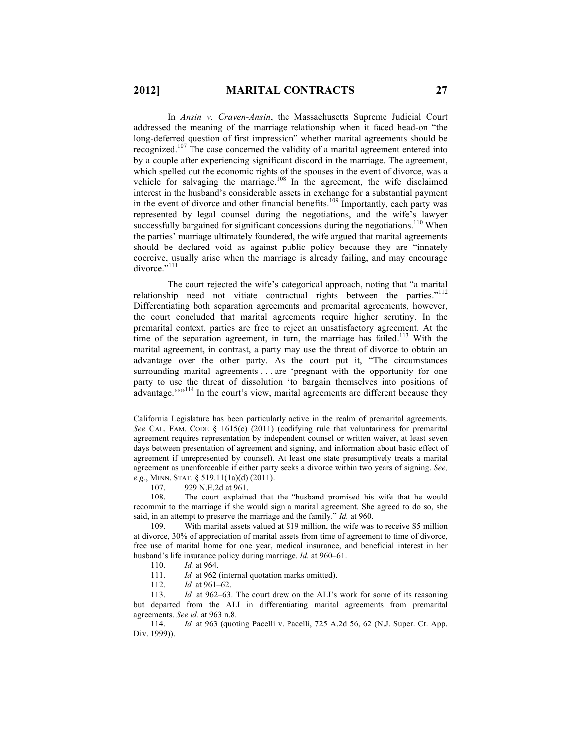In *Ansin v. Craven-Ansin*, the Massachusetts Supreme Judicial Court addressed the meaning of the marriage relationship when it faced head-on "the long-deferred question of first impression" whether marital agreements should be recognized.<sup>107</sup> The case concerned the validity of a marital agreement entered into by a couple after experiencing significant discord in the marriage. The agreement, which spelled out the economic rights of the spouses in the event of divorce, was a vehicle for salvaging the marriage.<sup>108</sup> In the agreement, the wife disclaimed interest in the husband's considerable assets in exchange for a substantial payment in the event of divorce and other financial benefits.<sup>109</sup> Importantly, each party was represented by legal counsel during the negotiations, and the wife's lawyer successfully bargained for significant concessions during the negotiations.<sup>110</sup> When the parties' marriage ultimately foundered, the wife argued that marital agreements should be declared void as against public policy because they are "innately coercive, usually arise when the marriage is already failing, and may encourage divorce."<sup>111</sup>

The court rejected the wife's categorical approach, noting that "a marital relationship need not vitiate contractual rights between the parties."<sup>112</sup> Differentiating both separation agreements and premarital agreements, however, the court concluded that marital agreements require higher scrutiny. In the premarital context, parties are free to reject an unsatisfactory agreement. At the time of the separation agreement, in turn, the marriage has failed.<sup>113</sup> With the marital agreement, in contrast, a party may use the threat of divorce to obtain an advantage over the other party. As the court put it, "The circumstances surrounding marital agreements . . . are 'pregnant with the opportunity for one party to use the threat of dissolution 'to bargain themselves into positions of advantage.'"<sup>114</sup> In the court's view, marital agreements are different because they

107. 929 N.E.2d at 961.

108. The court explained that the "husband promised his wife that he would recommit to the marriage if she would sign a marital agreement. She agreed to do so, she said, in an attempt to preserve the marriage and the family." *Id.* at 960.

109. With marital assets valued at \$19 million, the wife was to receive \$5 million at divorce, 30% of appreciation of marital assets from time of agreement to time of divorce, free use of marital home for one year, medical insurance, and beneficial interest in her husband's life insurance policy during marriage. *Id.* at 960–61.

111. *Id.* at 962 (internal quotation marks omitted).

112. *Id.* at 961–62.

113. *Id.* at 962–63. The court drew on the ALI's work for some of its reasoning but departed from the ALI in differentiating marital agreements from premarital agreements. *See id.* at 963 n.8.

114. *Id.* at 963 (quoting Pacelli v. Pacelli, 725 A.2d 56, 62 (N.J. Super. Ct. App. Div. 1999)).

California Legislature has been particularly active in the realm of premarital agreements. *See* CAL. FAM. CODE  $\S$  1615(c) (2011) (codifying rule that voluntariness for premarital agreement requires representation by independent counsel or written waiver, at least seven days between presentation of agreement and signing, and information about basic effect of agreement if unrepresented by counsel). At least one state presumptively treats a marital agreement as unenforceable if either party seeks a divorce within two years of signing. *See, e.g.*, MINN. STAT. § 519.11(1a)(d) (2011).

<sup>110.</sup> *Id.* at 964.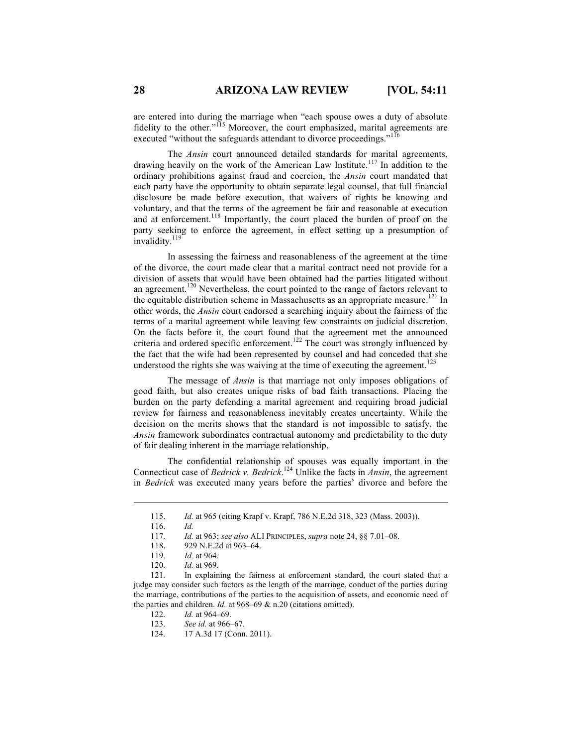are entered into during the marriage when "each spouse owes a duty of absolute fidelity to the other."<sup>115</sup> Moreover, the court emphasized, marital agreements are executed "without the safeguards attendant to divorce proceedings."<sup>116</sup>

The *Ansin* court announced detailed standards for marital agreements, drawing heavily on the work of the American Law Institute.<sup>117</sup> In addition to the ordinary prohibitions against fraud and coercion, the *Ansin* court mandated that each party have the opportunity to obtain separate legal counsel, that full financial disclosure be made before execution, that waivers of rights be knowing and voluntary, and that the terms of the agreement be fair and reasonable at execution and at enforcement.<sup>118</sup> Importantly, the court placed the burden of proof on the party seeking to enforce the agreement, in effect setting up a presumption of invalidity.<sup>119</sup>

In assessing the fairness and reasonableness of the agreement at the time of the divorce, the court made clear that a marital contract need not provide for a division of assets that would have been obtained had the parties litigated without an agreement.<sup>120</sup> Nevertheless, the court pointed to the range of factors relevant to the equitable distribution scheme in Massachusetts as an appropriate measure.<sup>121</sup> In other words, the *Ansin* court endorsed a searching inquiry about the fairness of the terms of a marital agreement while leaving few constraints on judicial discretion. On the facts before it, the court found that the agreement met the announced criteria and ordered specific enforcement.<sup>122</sup> The court was strongly influenced by the fact that the wife had been represented by counsel and had conceded that she understood the rights she was waiving at the time of executing the agreement.<sup>123</sup>

The message of *Ansin* is that marriage not only imposes obligations of good faith, but also creates unique risks of bad faith transactions. Placing the burden on the party defending a marital agreement and requiring broad judicial review for fairness and reasonableness inevitably creates uncertainty. While the decision on the merits shows that the standard is not impossible to satisfy, the *Ansin* framework subordinates contractual autonomy and predictability to the duty of fair dealing inherent in the marriage relationship.

The confidential relationship of spouses was equally important in the Connecticut case of *Bedrick v. Bedrick*. <sup>124</sup> Unlike the facts in *Ansin*, the agreement in *Bedrick* was executed many years before the parties' divorce and before the

 $\overline{a}$ 

118. 929 N.E.2d at 963–64.<br>119. *Id.* at 964.

<sup>115.</sup> *Id.* at 965 (citing Krapf v. Krapf, 786 N.E.2d 318, 323 (Mass. 2003)).

<sup>116.</sup> *Id.*

<sup>117.</sup> *Id.* at 963; *see also* ALI PRINCIPLES, *supra* note 24, §§ 7.01–08.

<sup>119.</sup> *Id.* at 964.<br>120. *Id.* at 969. *Id.* at 969.

<sup>121.</sup> In explaining the fairness at enforcement standard, the court stated that a judge may consider such factors as the length of the marriage, conduct of the parties during the marriage, contributions of the parties to the acquisition of assets, and economic need of the parties and children. *Id.* at 968–69 & n.20 (citations omitted).

<sup>122.</sup> *Id.* at 964–69.<br>123. *See id.* at 966–

See id. at 966–67.

<sup>124.</sup> 17 A.3d 17 (Conn. 2011).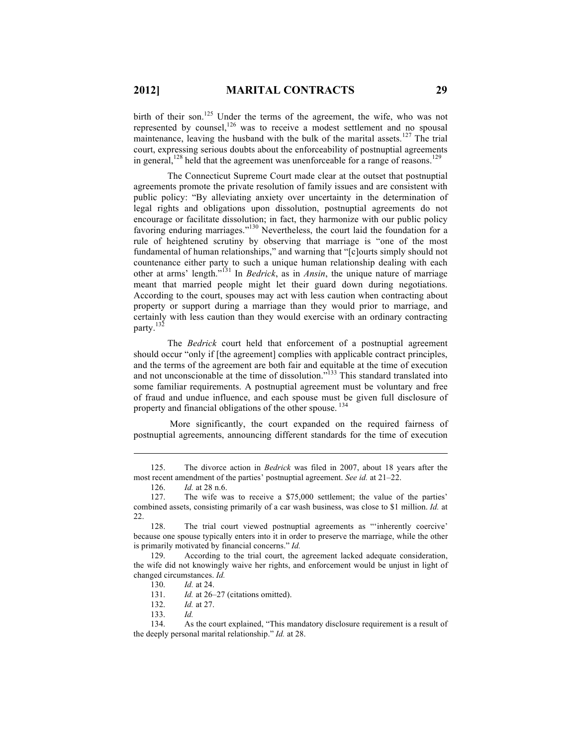birth of their son.<sup>125</sup> Under the terms of the agreement, the wife, who was not represented by counsel,<sup>126</sup> was to receive a modest settlement and no spousal maintenance, leaving the husband with the bulk of the marital assets.<sup>127</sup> The trial court, expressing serious doubts about the enforceability of postnuptial agreements in general,<sup>128</sup> held that the agreement was unenforceable for a range of reasons.<sup>129</sup>

The Connecticut Supreme Court made clear at the outset that postnuptial agreements promote the private resolution of family issues and are consistent with public policy: "By alleviating anxiety over uncertainty in the determination of legal rights and obligations upon dissolution, postnuptial agreements do not encourage or facilitate dissolution; in fact, they harmonize with our public policy favoring enduring marriages."<sup>130</sup> Nevertheless, the court laid the foundation for a rule of heightened scrutiny by observing that marriage is "one of the most fundamental of human relationships," and warning that "[c]ourts simply should not countenance either party to such a unique human relationship dealing with each other at arms' length."<sup>131</sup> In *Bedrick*, as in *Ansin*, the unique nature of marriage meant that married people might let their guard down during negotiations. According to the court, spouses may act with less caution when contracting about property or support during a marriage than they would prior to marriage, and certainly with less caution than they would exercise with an ordinary contracting party.<sup>132</sup>

The *Bedrick* court held that enforcement of a postnuptial agreement should occur "only if [the agreement] complies with applicable contract principles, and the terms of the agreement are both fair and equitable at the time of execution and not unconscionable at the time of dissolution."<sup>133</sup> This standard translated into some familiar requirements. A postnuptial agreement must be voluntary and free of fraud and undue influence, and each spouse must be given full disclosure of property and financial obligations of the other spouse. <sup>134</sup>

More significantly, the court expanded on the required fairness of postnuptial agreements, announcing different standards for the time of execution

<sup>125.</sup> The divorce action in *Bedrick* was filed in 2007, about 18 years after the most recent amendment of the parties' postnuptial agreement. *See id.* at 21–22.

<sup>126.</sup> *Id.* at 28 n.6.

<sup>127.</sup> The wife was to receive a \$75,000 settlement; the value of the parties' combined assets, consisting primarily of a car wash business, was close to \$1 million. *Id.* at 22.

<sup>128.</sup> The trial court viewed postnuptial agreements as "'inherently coercive' because one spouse typically enters into it in order to preserve the marriage, while the other is primarily motivated by financial concerns." *Id.*

<sup>129.</sup> According to the trial court, the agreement lacked adequate consideration, the wife did not knowingly waive her rights, and enforcement would be unjust in light of changed circumstances. *Id.*

<sup>130.</sup> *Id.* at 24.

<sup>131.</sup> *Id.* at 26–27 (citations omitted).

<sup>132.</sup> *Id.* at 27.

<sup>133.</sup> *Id.*

<sup>134.</sup> As the court explained, "This mandatory disclosure requirement is a result of the deeply personal marital relationship." *Id.* at 28.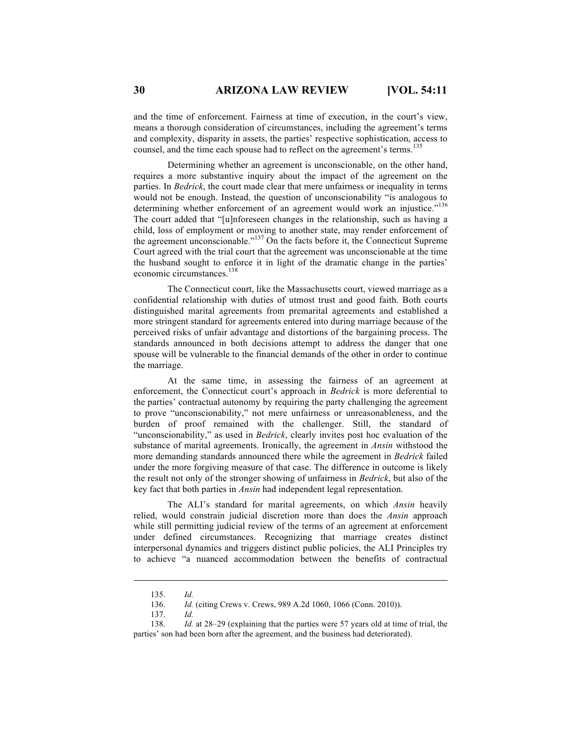and the time of enforcement. Fairness at time of execution, in the court's view, means a thorough consideration of circumstances, including the agreement's terms and complexity, disparity in assets, the parties' respective sophistication, access to counsel, and the time each spouse had to reflect on the agreement's terms.<sup>135</sup>

Determining whether an agreement is unconscionable, on the other hand, requires a more substantive inquiry about the impact of the agreement on the parties. In *Bedrick*, the court made clear that mere unfairness or inequality in terms would not be enough. Instead, the question of unconscionability "is analogous to determining whether enforcement of an agreement would work an injustice."<sup>136</sup> The court added that "[u]nforeseen changes in the relationship, such as having a child, loss of employment or moving to another state, may render enforcement of the agreement unconscionable."<sup>137</sup> On the facts before it, the Connecticut Supreme Court agreed with the trial court that the agreement was unconscionable at the time the husband sought to enforce it in light of the dramatic change in the parties' economic circumstances.<sup>138</sup>

The Connecticut court, like the Massachusetts court, viewed marriage as a confidential relationship with duties of utmost trust and good faith. Both courts distinguished marital agreements from premarital agreements and established a more stringent standard for agreements entered into during marriage because of the perceived risks of unfair advantage and distortions of the bargaining process. The standards announced in both decisions attempt to address the danger that one spouse will be vulnerable to the financial demands of the other in order to continue the marriage.

At the same time, in assessing the fairness of an agreement at enforcement, the Connecticut court's approach in *Bedrick* is more deferential to the parties' contractual autonomy by requiring the party challenging the agreement to prove "unconscionability," not mere unfairness or unreasonableness, and the burden of proof remained with the challenger. Still, the standard of "unconscionability," as used in *Bedrick*, clearly invites post hoc evaluation of the substance of marital agreements. Ironically, the agreement in *Ansin* withstood the more demanding standards announced there while the agreement in *Bedrick* failed under the more forgiving measure of that case. The difference in outcome is likely the result not only of the stronger showing of unfairness in *Bedrick*, but also of the key fact that both parties in *Ansin* had independent legal representation.

The ALI's standard for marital agreements, on which *Ansin* heavily relied, would constrain judicial discretion more than does the *Ansin* approach while still permitting judicial review of the terms of an agreement at enforcement under defined circumstances. Recognizing that marriage creates distinct interpersonal dynamics and triggers distinct public policies, the ALI Principles try to achieve "a nuanced accommodation between the benefits of contractual

<sup>135.</sup> *Id.*

<sup>136.</sup> *Id.* (citing Crews v. Crews, 989 A.2d 1060, 1066 (Conn. 2010)).

<sup>137.</sup> *Id.*

<sup>138.</sup> *Id.* at 28–29 (explaining that the parties were 57 years old at time of trial, the parties' son had been born after the agreement, and the business had deteriorated).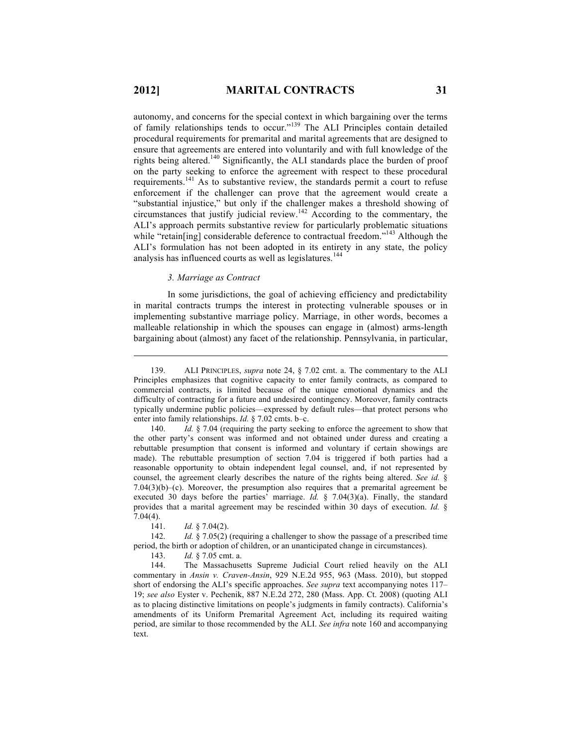autonomy, and concerns for the special context in which bargaining over the terms of family relationships tends to occur."<sup>139</sup> The ALI Principles contain detailed procedural requirements for premarital and marital agreements that are designed to ensure that agreements are entered into voluntarily and with full knowledge of the rights being altered.<sup>140</sup> Significantly, the ALI standards place the burden of proof on the party seeking to enforce the agreement with respect to these procedural requirements.<sup>141</sup> As to substantive review, the standards permit a court to refuse enforcement if the challenger can prove that the agreement would create a "substantial injustice," but only if the challenger makes a threshold showing of circumstances that justify judicial review.<sup>142</sup> According to the commentary, the ALI's approach permits substantive review for particularly problematic situations while "retain[ing] considerable deference to contractual freedom."<sup>143</sup> Although the ALI's formulation has not been adopted in its entirety in any state, the policy analysis has influenced courts as well as legislatures.<sup>144</sup>

### *3. Marriage as Contract*

In some jurisdictions, the goal of achieving efficiency and predictability in marital contracts trumps the interest in protecting vulnerable spouses or in implementing substantive marriage policy. Marriage, in other words, becomes a malleable relationship in which the spouses can engage in (almost) arms-length bargaining about (almost) any facet of the relationship. Pennsylvania, in particular,

140. *Id.* § 7.04 (requiring the party seeking to enforce the agreement to show that the other party's consent was informed and not obtained under duress and creating a rebuttable presumption that consent is informed and voluntary if certain showings are made). The rebuttable presumption of section 7.04 is triggered if both parties had a reasonable opportunity to obtain independent legal counsel, and, if not represented by counsel, the agreement clearly describes the nature of the rights being altered. *See id.* §  $7.04(3)(b)$ –(c). Moreover, the presumption also requires that a premarital agreement be executed 30 days before the parties' marriage. *Id.* § 7.04(3)(a). Finally, the standard provides that a marital agreement may be rescinded within 30 days of execution. *Id.* § 7.04(4).

141. *Id.* § 7.04(2).

142. *Id.* § 7.05(2) (requiring a challenger to show the passage of a prescribed time period, the birth or adoption of children, or an unanticipated change in circumstances).

143. *Id.* § 7.05 cmt. a.

144. The Massachusetts Supreme Judicial Court relied heavily on the ALI commentary in *Ansin v. Craven-Ansin*, 929 N.E.2d 955, 963 (Mass. 2010), but stopped short of endorsing the ALI's specific approaches. *See supra* text accompanying notes 117– 19; *see also* Eyster v. Pechenik, 887 N.E.2d 272, 280 (Mass. App. Ct. 2008) (quoting ALI as to placing distinctive limitations on people's judgments in family contracts). California's amendments of its Uniform Premarital Agreement Act, including its required waiting period, are similar to those recommended by the ALI. *See infra* note 160 and accompanying text.

<sup>139.</sup> ALI PRINCIPLES, *supra* note 24, § 7.02 cmt. a. The commentary to the ALI Principles emphasizes that cognitive capacity to enter family contracts, as compared to commercial contracts, is limited because of the unique emotional dynamics and the difficulty of contracting for a future and undesired contingency. Moreover, family contracts typically undermine public policies—expressed by default rules—that protect persons who enter into family relationships. *Id.* § 7.02 cmts. b–c.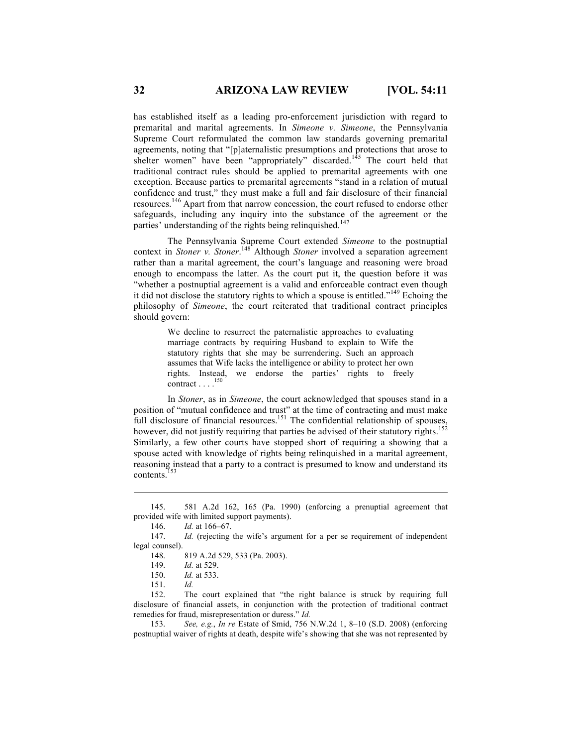has established itself as a leading pro-enforcement jurisdiction with regard to premarital and marital agreements. In *Simeone v. Simeone*, the Pennsylvania Supreme Court reformulated the common law standards governing premarital agreements, noting that "[p]aternalistic presumptions and protections that arose to shelter women" have been "appropriately" discarded.<sup>145</sup> The court held that traditional contract rules should be applied to premarital agreements with one exception. Because parties to premarital agreements "stand in a relation of mutual confidence and trust," they must make a full and fair disclosure of their financial resources.<sup>146</sup> Apart from that narrow concession, the court refused to endorse other safeguards, including any inquiry into the substance of the agreement or the parties' understanding of the rights being relinquished.<sup>14</sup>

The Pennsylvania Supreme Court extended *Simeone* to the postnuptial context in *Stoner v. Stoner*. <sup>148</sup> Although *Stoner* involved a separation agreement rather than a marital agreement, the court's language and reasoning were broad enough to encompass the latter. As the court put it, the question before it was "whether a postnuptial agreement is a valid and enforceable contract even though it did not disclose the statutory rights to which a spouse is entitled."<sup>149</sup> Echoing the philosophy of *Simeone*, the court reiterated that traditional contract principles should govern:

> We decline to resurrect the paternalistic approaches to evaluating marriage contracts by requiring Husband to explain to Wife the statutory rights that she may be surrendering. Such an approach assumes that Wife lacks the intelligence or ability to protect her own rights. Instead, we endorse the parties' rights to freely contract . . . . 150

In *Stoner*, as in *Simeone*, the court acknowledged that spouses stand in a position of "mutual confidence and trust" at the time of contracting and must make full disclosure of financial resources.<sup>151</sup> The confidential relationship of spouses, however, did not justify requiring that parties be advised of their statutory rights.<sup>152</sup> Similarly, a few other courts have stopped short of requiring a showing that a spouse acted with knowledge of rights being relinquished in a marital agreement, reasoning instead that a party to a contract is presumed to know and understand its contents. $153$ 

 $\overline{a}$ 

152. The court explained that "the right balance is struck by requiring full disclosure of financial assets, in conjunction with the protection of traditional contract remedies for fraud, misrepresentation or duress." *Id.*

153. *See, e.g.*, *In re* Estate of Smid, 756 N.W.2d 1, 8–10 (S.D. 2008) (enforcing postnuptial waiver of rights at death, despite wife's showing that she was not represented by

<sup>145.</sup> 581 A.2d 162, 165 (Pa. 1990) (enforcing a prenuptial agreement that provided wife with limited support payments).

<sup>146.</sup> *Id.* at 166–67.

<sup>147.</sup> *Id.* (rejecting the wife's argument for a per se requirement of independent legal counsel).

<sup>148.</sup> 819 A.2d 529, 533 (Pa. 2003).

<sup>149.</sup> *Id.* at 529.

<sup>150.</sup> *Id.* at 533.

<sup>151.</sup> *Id.*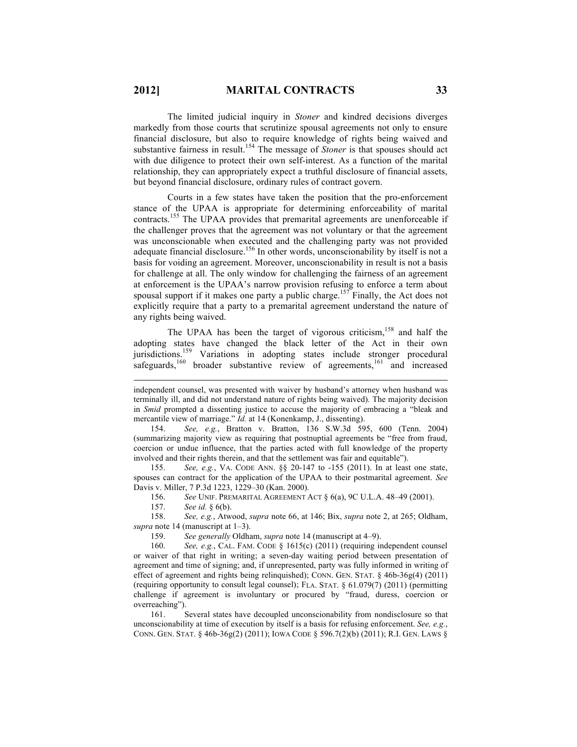The limited judicial inquiry in *Stoner* and kindred decisions diverges markedly from those courts that scrutinize spousal agreements not only to ensure financial disclosure, but also to require knowledge of rights being waived and substantive fairness in result.<sup>154</sup> The message of *Stoner* is that spouses should act with due diligence to protect their own self-interest. As a function of the marital relationship, they can appropriately expect a truthful disclosure of financial assets, but beyond financial disclosure, ordinary rules of contract govern.

Courts in a few states have taken the position that the pro-enforcement stance of the UPAA is appropriate for determining enforceability of marital contracts.<sup>155</sup> The UPAA provides that premarital agreements are unenforceable if the challenger proves that the agreement was not voluntary or that the agreement was unconscionable when executed and the challenging party was not provided adequate financial disclosure.<sup>156</sup> In other words, unconscionability by itself is not a basis for voiding an agreement. Moreover, unconscionability in result is not a basis for challenge at all. The only window for challenging the fairness of an agreement at enforcement is the UPAA's narrow provision refusing to enforce a term about spousal support if it makes one party a public charge.<sup>157</sup> Finally, the Act does not explicitly require that a party to a premarital agreement understand the nature of any rights being waived.

The UPAA has been the target of vigorous criticism,<sup>158</sup> and half the adopting states have changed the black letter of the Act in their own jurisdictions.<sup>159</sup> Variations in adopting states include stronger procedural safeguards,<sup>160</sup> broader substantive review of agreements,<sup>161</sup> and increased

154. *See, e.g.*, Bratton v. Bratton, 136 S.W.3d 595, 600 (Tenn. 2004) (summarizing majority view as requiring that postnuptial agreements be "free from fraud, coercion or undue influence, that the parties acted with full knowledge of the property involved and their rights therein, and that the settlement was fair and equitable").

155. *See, e.g.*, VA. CODE ANN. §§ 20-147 to -155 (2011). In at least one state, spouses can contract for the application of the UPAA to their postmarital agreement. *See* Davis v. Miller, 7 P.3d 1223, 1229–30 (Kan. 2000).

156. *See* UNIF. PREMARITAL AGREEMENT ACT § 6(a), 9C U.L.A. 48–49 (2001).

157. *See id.* § 6(b).

158. *See, e.g.*, Atwood, *supra* note 66, at 146; Bix, *supra* note 2, at 265; Oldham, *supra* note 14 (manuscript at 1–3).

159. *See generally* Oldham, *supra* note 14 (manuscript at 4–9).

160. *See, e.g.*, CAL. FAM. CODE § 1615(c) (2011) (requiring independent counsel or waiver of that right in writing; a seven-day waiting period between presentation of agreement and time of signing; and, if unrepresented, party was fully informed in writing of effect of agreement and rights being relinquished); CONN. GEN. STAT. § 46b-36g(4) (2011) (requiring opportunity to consult legal counsel); FLA. STAT. § 61.079(7) (2011) (permitting challenge if agreement is involuntary or procured by "fraud, duress, coercion or overreaching").

161. Several states have decoupled unconscionability from nondisclosure so that unconscionability at time of execution by itself is a basis for refusing enforcement. *See, e.g.*, CONN. GEN. STAT. § 46b-36g(2) (2011); IOWA CODE § 596.7(2)(b) (2011); R.I. GEN. LAWS §

independent counsel, was presented with waiver by husband's attorney when husband was terminally ill, and did not understand nature of rights being waived). The majority decision in *Smid* prompted a dissenting justice to accuse the majority of embracing a "bleak and mercantile view of marriage." *Id.* at 14 (Konenkamp, J., dissenting).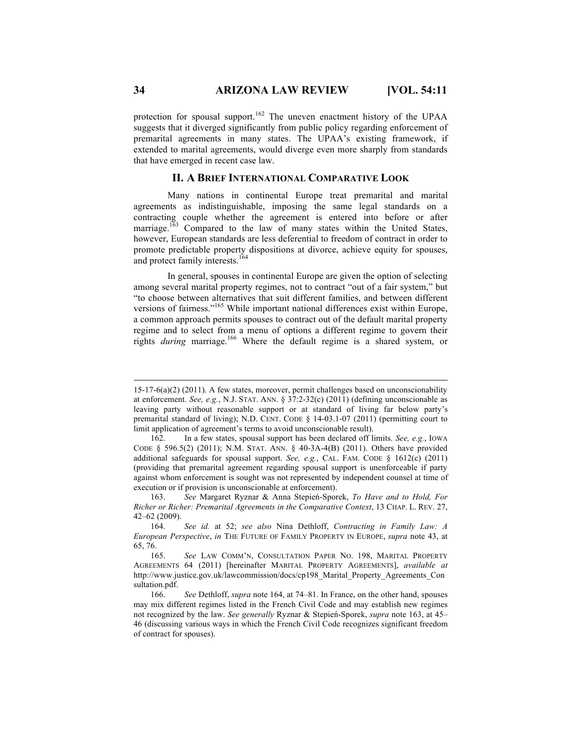protection for spousal support.<sup>162</sup> The uneven enactment history of the UPAA suggests that it diverged significantly from public policy regarding enforcement of premarital agreements in many states. The UPAA's existing framework, if extended to marital agreements, would diverge even more sharply from standards that have emerged in recent case law.

## **II. A BRIEF INTERNATIONAL COMPARATIVE LOOK**

Many nations in continental Europe treat premarital and marital agreements as indistinguishable, imposing the same legal standards on a contracting couple whether the agreement is entered into before or after marriage.<sup>163</sup> Compared to the law of many states within the United States, however, European standards are less deferential to freedom of contract in order to promote predictable property dispositions at divorce, achieve equity for spouses, and protect family interests.<sup>164</sup>

In general, spouses in continental Europe are given the option of selecting among several marital property regimes, not to contract "out of a fair system," but "to choose between alternatives that suit different families, and between different versions of fairness."<sup>165</sup> While important national differences exist within Europe, a common approach permits spouses to contract out of the default marital property regime and to select from a menu of options a different regime to govern their rights *during* marriage.<sup>166</sup> Where the default regime is a shared system, or

<sup>15-17-6(</sup>a)(2) (2011). A few states, moreover, permit challenges based on unconscionability at enforcement. *See, e.g.*, N.J. STAT. ANN. § 37:2-32(c) (2011) (defining unconscionable as leaving party without reasonable support or at standard of living far below party's premarital standard of living); N.D. CENT. CODE § 14-03.1-07 (2011) (permitting court to limit application of agreement's terms to avoid unconscionable result).

<sup>162.</sup> In a few states, spousal support has been declared off limits. *See, e.g.*, IOWA CODE § 596.5(2) (2011); N.M. STAT. ANN. § 40-3A-4(B) (2011). Others have provided additional safeguards for spousal support. *See, e.g.*, CAL. FAM. CODE § 1612(c) (2011) (providing that premarital agreement regarding spousal support is unenforceable if party against whom enforcement is sought was not represented by independent counsel at time of execution or if provision is unconscionable at enforcement).

<sup>163.</sup> *See* Margaret Ryznar & Anna Stepień-Sporek, *To Have and to Hold, For Richer or Richer: Premarital Agreements in the Comparative Context*, 13 CHAP. L. REV. 27, 42–62 (2009).

<sup>164.</sup> *See id.* at 52; *see also* Nina Dethloff, *Contracting in Family Law: A European Perspective*, *in* THE FUTURE OF FAMILY PROPERTY IN EUROPE, *supra* note 43, at 65, 76.

<sup>165.</sup> *See* LAW COMM'N, CONSULTATION PAPER NO. 198, MARITAL PROPERTY AGREEMENTS 64 (2011) [hereinafter MARITAL PROPERTY AGREEMENTS], *available at*  http://www.justice.gov.uk/lawcommission/docs/cp198\_Marital\_Property\_Agreements\_Con sultation.pdf.

<sup>166.</sup> *See* Dethloff, *supra* note 164, at 74–81. In France, on the other hand, spouses may mix different regimes listed in the French Civil Code and may establish new regimes not recognized by the law. *See generally* Ryznar & Stepień-Sporek, *supra* note 163, at 45– 46 (discussing various ways in which the French Civil Code recognizes significant freedom of contract for spouses).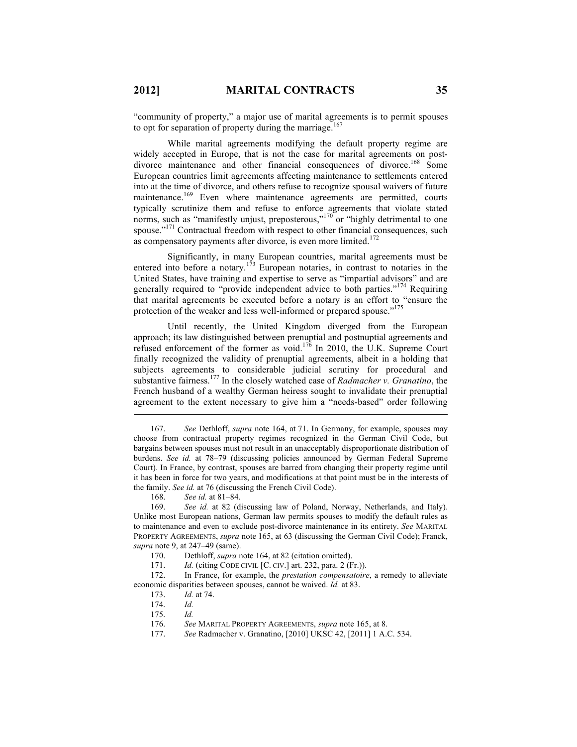"community of property," a major use of marital agreements is to permit spouses to opt for separation of property during the marriage.<sup>167</sup>

While marital agreements modifying the default property regime are widely accepted in Europe, that is not the case for marital agreements on postdivorce maintenance and other financial consequences of divorce.<sup>168</sup> Some European countries limit agreements affecting maintenance to settlements entered into at the time of divorce, and others refuse to recognize spousal waivers of future maintenance.<sup>169</sup> Even where maintenance agreements are permitted, courts typically scrutinize them and refuse to enforce agreements that violate stated norms, such as "manifestly unjust, preposterous,"<sup>170</sup> or "highly detrimental to one spouse."<sup>171</sup> Contractual freedom with respect to other financial consequences, such as compensatory payments after divorce, is even more limited. $172$ 

Significantly, in many European countries, marital agreements must be entered into before a notary.<sup>173</sup> European notaries, in contrast to notaries in the United States, have training and expertise to serve as "impartial advisors" and are generally required to "provide independent advice to both parties."<sup>174</sup> Requiring that marital agreements be executed before a notary is an effort to "ensure the protection of the weaker and less well-informed or prepared spouse."<sup>175</sup>

Until recently, the United Kingdom diverged from the European approach; its law distinguished between prenuptial and postnuptial agreements and refused enforcement of the former as void.<sup>176</sup> In 2010, the U.K. Supreme Court finally recognized the validity of prenuptial agreements, albeit in a holding that subjects agreements to considerable judicial scrutiny for procedural and substantive fairness.<sup>177</sup> In the closely watched case of *Radmacher v. Granatino*, the French husband of a wealthy German heiress sought to invalidate their prenuptial agreement to the extent necessary to give him a "needs-based" order following

168. *See id.* at 81–84.

See id. at 82 (discussing law of Poland, Norway, Netherlands, and Italy). Unlike most European nations, German law permits spouses to modify the default rules as to maintenance and even to exclude post-divorce maintenance in its entirety. *See* MARITAL PROPERTY AGREEMENTS, *supra* note 165, at 63 (discussing the German Civil Code); Franck, *supra* note 9, at 247–49 (same).

*Id.* (citing CODE CIVIL [C. CIV.] art. 232, para. 2 (Fr.)).

172. In France, for example, the *prestation compensatoire*, a remedy to alleviate economic disparities between spouses, cannot be waived. *Id.* at 83.

<sup>167.</sup> *See* Dethloff, *supra* note 164, at 71. In Germany, for example, spouses may choose from contractual property regimes recognized in the German Civil Code, but bargains between spouses must not result in an unacceptably disproportionate distribution of burdens. *See id.* at 78–79 (discussing policies announced by German Federal Supreme Court). In France, by contrast, spouses are barred from changing their property regime until it has been in force for two years, and modifications at that point must be in the interests of the family. *See id.* at 76 (discussing the French Civil Code).

<sup>170.</sup> Dethloff, *supra* note 164, at 82 (citation omitted).<br>171. *Id.* (citing CODE CIVIL [C. CIV.] art. 232, para. 2 (F

<sup>173.</sup> *Id.* at 74.

<sup>174.</sup> *Id.*

<sup>175.</sup> *Id.*

<sup>176.</sup> *See* MARITAL PROPERTY AGREEMENTS, *supra* note 165, at 8.

<sup>177.</sup> *See* Radmacher v. Granatino, [2010] UKSC 42, [2011] 1 A.C. 534.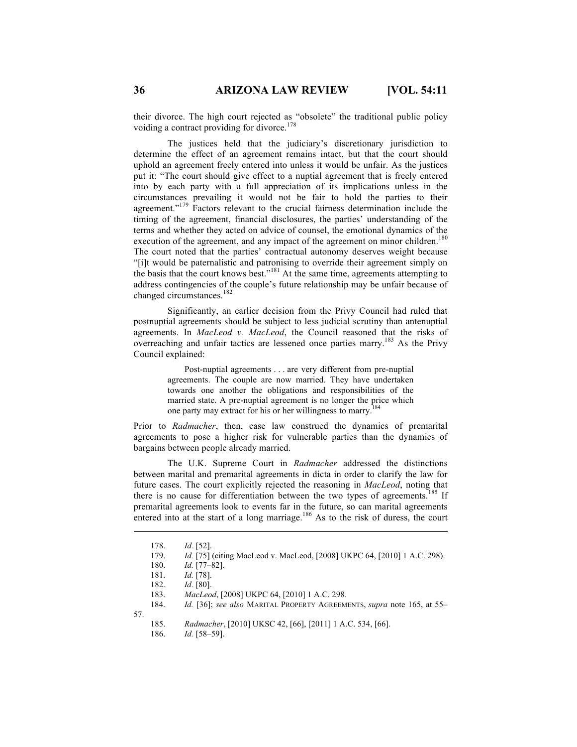their divorce. The high court rejected as "obsolete" the traditional public policy voiding a contract providing for divorce.<sup>178</sup>

The justices held that the judiciary's discretionary jurisdiction to determine the effect of an agreement remains intact, but that the court should uphold an agreement freely entered into unless it would be unfair. As the justices put it: "The court should give effect to a nuptial agreement that is freely entered into by each party with a full appreciation of its implications unless in the circumstances prevailing it would not be fair to hold the parties to their agreement."<sup>179</sup> Factors relevant to the crucial fairness determination include the timing of the agreement, financial disclosures, the parties' understanding of the terms and whether they acted on advice of counsel, the emotional dynamics of the execution of the agreement, and any impact of the agreement on minor children.<sup>180</sup> The court noted that the parties' contractual autonomy deserves weight because "[i]t would be paternalistic and patronising to override their agreement simply on the basis that the court knows best."<sup>181</sup> At the same time, agreements attempting to address contingencies of the couple's future relationship may be unfair because of changed circumstances.<sup>182</sup>

Significantly, an earlier decision from the Privy Council had ruled that postnuptial agreements should be subject to less judicial scrutiny than antenuptial agreements. In *MacLeod v. MacLeod*, the Council reasoned that the risks of overreaching and unfair tactics are lessened once parties marry.<sup>183</sup> As the Privy Council explained:

> Post-nuptial agreements . . . are very different from pre-nuptial agreements. The couple are now married. They have undertaken towards one another the obligations and responsibilities of the married state. A pre-nuptial agreement is no longer the price which one party may extract for his or her willingness to marry.<sup>184</sup>

Prior to *Radmacher*, then, case law construed the dynamics of premarital agreements to pose a higher risk for vulnerable parties than the dynamics of bargains between people already married.

The U.K. Supreme Court in *Radmacher* addressed the distinctions between marital and premarital agreements in dicta in order to clarify the law for future cases. The court explicitly rejected the reasoning in *MacLeod*, noting that there is no cause for differentiation between the two types of agreements.<sup>185</sup> If premarital agreements look to events far in the future, so can marital agreements entered into at the start of a long marriage.<sup>186</sup> As to the risk of duress, the court

57.

 $\overline{a}$ 

186. *Id.* [58–59].

<sup>178.</sup> *Id.* [52].

<sup>179.</sup> *Id.* [75] (citing MacLeod v. MacLeod, [2008] UKPC 64, [2010] 1 A.C. 298).

<sup>180.</sup> *Id.* [77–82].

<sup>181.</sup> *Id.* [78].

<sup>182.</sup> *Id.* [80].

<sup>183.</sup> *MacLeod*, [2008] UKPC 64, [2010] 1 A.C. 298.

<sup>184.</sup> *Id.* [36]; *see also* MARITAL PROPERTY AGREEMENTS, *supra* note 165, at 55–

<sup>185.</sup> *Radmacher*, [2010] UKSC 42, [66], [2011] 1 A.C. 534, [66].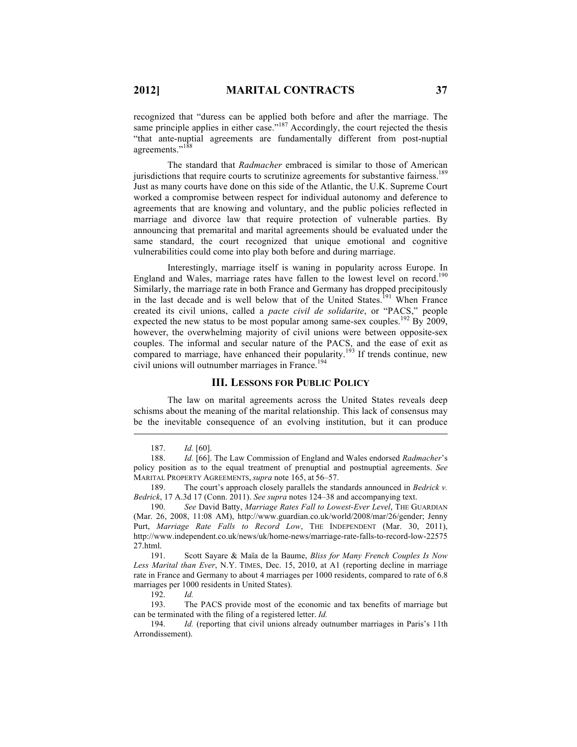recognized that "duress can be applied both before and after the marriage. The same principle applies in either case."<sup>187</sup> Accordingly, the court rejected the thesis "that ante-nuptial agreements are fundamentally different from post-nuptial agreements."<sup>188</sup>

The standard that *Radmacher* embraced is similar to those of American jurisdictions that require courts to scrutinize agreements for substantive fairness.<sup>189</sup> Just as many courts have done on this side of the Atlantic, the U.K. Supreme Court worked a compromise between respect for individual autonomy and deference to agreements that are knowing and voluntary, and the public policies reflected in marriage and divorce law that require protection of vulnerable parties. By announcing that premarital and marital agreements should be evaluated under the same standard, the court recognized that unique emotional and cognitive vulnerabilities could come into play both before and during marriage.

Interestingly, marriage itself is waning in popularity across Europe. In England and Wales, marriage rates have fallen to the lowest level on record.<sup>190</sup> Similarly, the marriage rate in both France and Germany has dropped precipitously in the last decade and is well below that of the United States.<sup>191</sup> When France created its civil unions, called a *pacte civil de solidarite*, or "PACS," people expected the new status to be most popular among same-sex couples.<sup>192</sup> By 2009, however, the overwhelming majority of civil unions were between opposite-sex couples. The informal and secular nature of the PACS, and the ease of exit as compared to marriage, have enhanced their popularity.<sup>193</sup> If trends continue, new civil unions will outnumber marriages in France.<sup>194</sup>

#### **III. LESSONS FOR PUBLIC POLICY**

The law on marital agreements across the United States reveals deep schisms about the meaning of the marital relationship. This lack of consensus may be the inevitable consequence of an evolving institution, but it can produce

 $\overline{a}$ 

190. *See* David Batty, *Marriage Rates Fall to Lowest-Ever Level*, THE GUARDIAN (Mar. 26, 2008, 11:08 AM), http://www.guardian.co.uk/world/2008/mar/26/gender; Jenny Purt, *Marriage Rate Falls to Record Low*, THE INDEPENDENT (Mar. 30, 2011), http://www.independent.co.uk/news/uk/home-news/marriage-rate-falls-to-record-low-22575 27.html.

191. Scott Sayare & Maïa de la Baume, *Bliss for Many French Couples Is Now Less Marital than Ever*, N.Y. TIMES, Dec. 15, 2010, at A1 (reporting decline in marriage rate in France and Germany to about 4 marriages per 1000 residents, compared to rate of 6.8 marriages per 1000 residents in United States).

192. *Id.*

193. The PACS provide most of the economic and tax benefits of marriage but can be terminated with the filing of a registered letter. *Id.*

194. *Id.* (reporting that civil unions already outnumber marriages in Paris's 11th Arrondissement).

<sup>187.</sup> *Id.* [60].

<sup>188.</sup> *Id.* [66]. The Law Commission of England and Wales endorsed *Radmacher*'s policy position as to the equal treatment of prenuptial and postnuptial agreements. *See* MARITAL PROPERTY AGREEMENTS, *supra* note 165, at 56–57.

<sup>189.</sup> The court's approach closely parallels the standards announced in *Bedrick v. Bedrick*, 17 A.3d 17 (Conn. 2011). *See supra* notes 124–38 and accompanying text.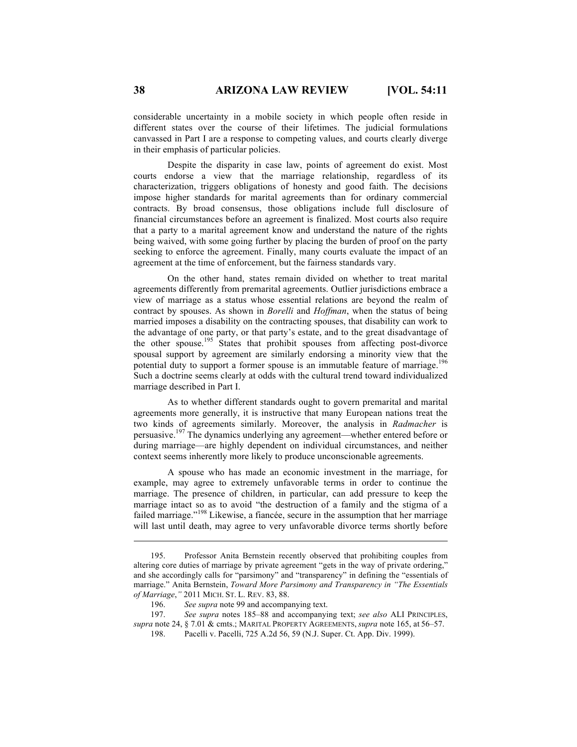considerable uncertainty in a mobile society in which people often reside in different states over the course of their lifetimes. The judicial formulations canvassed in Part I are a response to competing values, and courts clearly diverge in their emphasis of particular policies.

Despite the disparity in case law, points of agreement do exist. Most courts endorse a view that the marriage relationship, regardless of its characterization, triggers obligations of honesty and good faith. The decisions impose higher standards for marital agreements than for ordinary commercial contracts. By broad consensus, those obligations include full disclosure of financial circumstances before an agreement is finalized. Most courts also require that a party to a marital agreement know and understand the nature of the rights being waived, with some going further by placing the burden of proof on the party seeking to enforce the agreement. Finally, many courts evaluate the impact of an agreement at the time of enforcement, but the fairness standards vary.

On the other hand, states remain divided on whether to treat marital agreements differently from premarital agreements. Outlier jurisdictions embrace a view of marriage as a status whose essential relations are beyond the realm of contract by spouses. As shown in *Borelli* and *Hoffman*, when the status of being married imposes a disability on the contracting spouses, that disability can work to the advantage of one party, or that party's estate, and to the great disadvantage of the other spouse.<sup>195</sup> States that prohibit spouses from affecting post-divorce spousal support by agreement are similarly endorsing a minority view that the potential duty to support a former spouse is an immutable feature of marriage.<sup>196</sup> Such a doctrine seems clearly at odds with the cultural trend toward individualized marriage described in Part I.

As to whether different standards ought to govern premarital and marital agreements more generally, it is instructive that many European nations treat the two kinds of agreements similarly. Moreover, the analysis in *Radmacher* is persuasive.<sup>197</sup> The dynamics underlying any agreement—whether entered before or during marriage—are highly dependent on individual circumstances, and neither context seems inherently more likely to produce unconscionable agreements.

A spouse who has made an economic investment in the marriage, for example, may agree to extremely unfavorable terms in order to continue the marriage. The presence of children, in particular, can add pressure to keep the marriage intact so as to avoid "the destruction of a family and the stigma of a failed marriage."<sup>198</sup> Likewise, a fiancée, secure in the assumption that her marriage will last until death, may agree to very unfavorable divorce terms shortly before

<sup>195.</sup> Professor Anita Bernstein recently observed that prohibiting couples from altering core duties of marriage by private agreement "gets in the way of private ordering," and she accordingly calls for "parsimony" and "transparency" in defining the "essentials of marriage." Anita Bernstein, *Toward More Parsimony and Transparency in "The Essentials of Marriage*,*"* 2011 MICH. ST. L. REV. 83, 88.

<sup>196.</sup> *See supra* note 99 and accompanying text.

<sup>197.</sup> *See supra* notes 185–88 and accompanying text; *see also* ALI PRINCIPLES, *supra* note 24, § 7.01 & cmts.; MARITAL PROPERTY AGREEMENTS, *supra* note 165, at 56–57.

<sup>198.</sup> Pacelli v. Pacelli, 725 A.2d 56, 59 (N.J. Super. Ct. App. Div. 1999).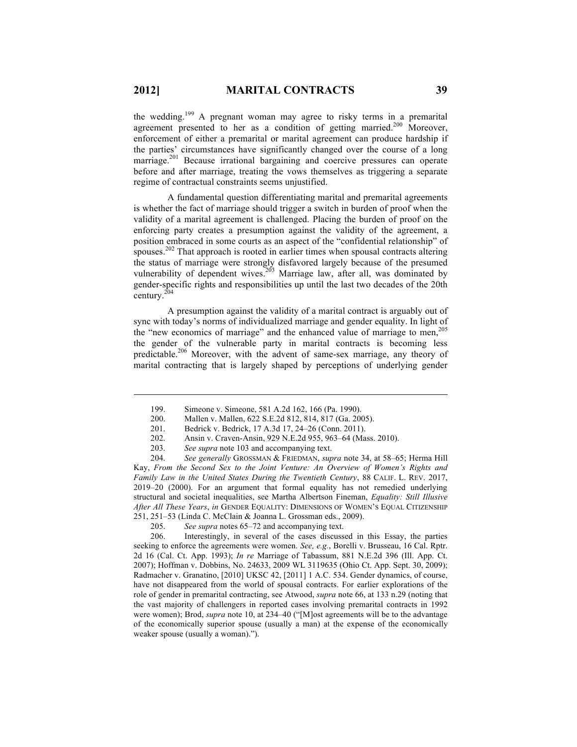the wedding.<sup>199</sup> A pregnant woman may agree to risky terms in a premarital agreement presented to her as a condition of getting married.<sup>200</sup> Moreover, enforcement of either a premarital or marital agreement can produce hardship if the parties' circumstances have significantly changed over the course of a long marriage.<sup>201</sup> Because irrational bargaining and coercive pressures can operate before and after marriage, treating the vows themselves as triggering a separate regime of contractual constraints seems unjustified.

A fundamental question differentiating marital and premarital agreements is whether the fact of marriage should trigger a switch in burden of proof when the validity of a marital agreement is challenged. Placing the burden of proof on the enforcing party creates a presumption against the validity of the agreement, a position embraced in some courts as an aspect of the "confidential relationship" of spouses.<sup>202</sup> That approach is rooted in earlier times when spousal contracts altering the status of marriage were strongly disfavored largely because of the presumed vulnerability of dependent wives.<sup>203</sup> Marriage law, after all, was dominated by gender-specific rights and responsibilities up until the last two decades of the 20th century.204

A presumption against the validity of a marital contract is arguably out of sync with today's norms of individualized marriage and gender equality. In light of the "new economics of marriage" and the enhanced value of marriage to men, $^{205}$ the gender of the vulnerable party in marital contracts is becoming less predictable.<sup>206</sup> Moreover, with the advent of same-sex marriage, any theory of marital contracting that is largely shaped by perceptions of underlying gender

204. *See generally* GROSSMAN & FRIEDMAN, *supra* note 34, at 58–65; Herma Hill Kay, *From the Second Sex to the Joint Venture: An Overview of Women's Rights and Family Law in the United States During the Twentieth Century*, 88 CALIF. L. REV. 2017, 2019–20 (2000). For an argument that formal equality has not remedied underlying structural and societal inequalities, see Martha Albertson Fineman, *Equality: Still Illusive After All These Years*, *in* GENDER EQUALITY: DIMENSIONS OF WOMEN'S EQUAL CITIZENSHIP 251, 251–53 (Linda C. McClain & Joanna L. Grossman eds., 2009).

205. *See supra* notes 65–72 and accompanying text.

206. Interestingly, in several of the cases discussed in this Essay, the parties seeking to enforce the agreements were women. *See, e.g.*, Borelli v. Brusseau, 16 Cal. Rptr. 2d 16 (Cal. Ct. App. 1993); *In re* Marriage of Tabassum, 881 N.E.2d 396 (Ill. App. Ct. 2007); Hoffman v. Dobbins, No. 24633, 2009 WL 3119635 (Ohio Ct. App. Sept. 30, 2009); Radmacher v. Granatino, [2010] UKSC 42, [2011] 1 A.C. 534. Gender dynamics, of course, have not disappeared from the world of spousal contracts. For earlier explorations of the role of gender in premarital contracting, see Atwood, *supra* note 66, at 133 n.29 (noting that the vast majority of challengers in reported cases involving premarital contracts in 1992 were women); Brod, *supra* note 10, at 234–40 ("[M]ost agreements will be to the advantage of the economically superior spouse (usually a man) at the expense of the economically weaker spouse (usually a woman).").

<sup>199.</sup> Simeone v. Simeone, 581 A.2d 162, 166 (Pa. 1990).<br>200. Mallen v. Mallen, 622 S.E.2d 812, 814, 817 (Ga. 20)

Mallen v. Mallen, 622 S.E.2d 812, 814, 817 (Ga. 2005).

<sup>201.</sup> Bedrick v. Bedrick, 17 A.3d 17, 24–26 (Conn. 2011).

<sup>202.</sup> Ansin v. Craven-Ansin, 929 N.E.2d 955, 963–64 (Mass. 2010).

<sup>203.</sup> *See supra* note 103 and accompanying text.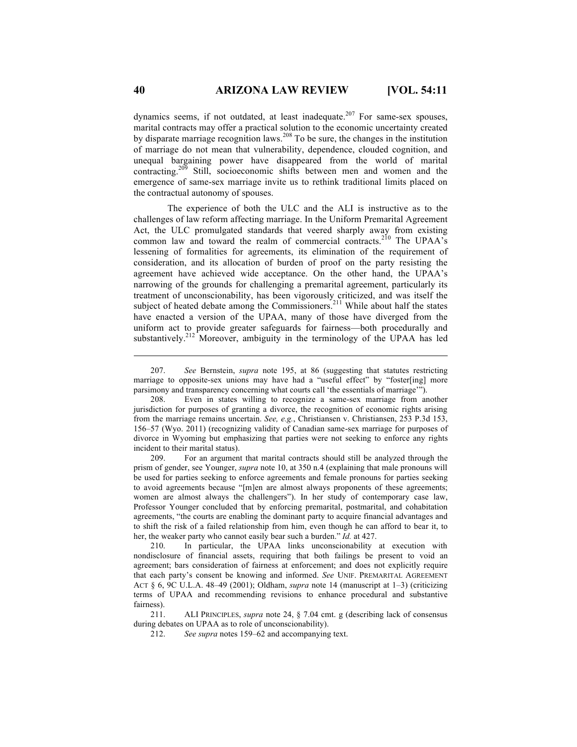dynamics seems, if not outdated, at least inadequate.<sup>207</sup> For same-sex spouses, marital contracts may offer a practical solution to the economic uncertainty created by disparate marriage recognition laws.<sup>208</sup> To be sure, the changes in the institution of marriage do not mean that vulnerability, dependence, clouded cognition, and unequal bargaining power have disappeared from the world of marital contracting.<sup>209</sup> Still, socioeconomic shifts between men and women and the emergence of same-sex marriage invite us to rethink traditional limits placed on the contractual autonomy of spouses.

The experience of both the ULC and the ALI is instructive as to the challenges of law reform affecting marriage. In the Uniform Premarital Agreement Act, the ULC promulgated standards that veered sharply away from existing common law and toward the realm of commercial contracts.<sup>210</sup> The UPAA's lessening of formalities for agreements, its elimination of the requirement of consideration, and its allocation of burden of proof on the party resisting the agreement have achieved wide acceptance. On the other hand, the UPAA's narrowing of the grounds for challenging a premarital agreement, particularly its treatment of unconscionability, has been vigorously criticized, and was itself the subject of heated debate among the Commissioners.<sup>211</sup> While about half the states have enacted a version of the UPAA, many of those have diverged from the uniform act to provide greater safeguards for fairness—both procedurally and substantively.<sup>212</sup> Moreover, ambiguity in the terminology of the UPAA has led

209. For an argument that marital contracts should still be analyzed through the prism of gender, see Younger, *supra* note 10, at 350 n.4 (explaining that male pronouns will be used for parties seeking to enforce agreements and female pronouns for parties seeking to avoid agreements because "[m]en are almost always proponents of these agreements; women are almost always the challengers"). In her study of contemporary case law, Professor Younger concluded that by enforcing premarital, postmarital, and cohabitation agreements, "the courts are enabling the dominant party to acquire financial advantages and to shift the risk of a failed relationship from him, even though he can afford to bear it, to her, the weaker party who cannot easily bear such a burden." *Id.* at 427.

211. ALI PRINCIPLES, *supra* note 24, § 7.04 cmt. g (describing lack of consensus during debates on UPAA as to role of unconscionability).

212. *See supra* notes 159–62 and accompanying text.

<sup>207.</sup> *See* Bernstein, *supra* note 195, at 86 (suggesting that statutes restricting marriage to opposite-sex unions may have had a "useful effect" by "foster[ing] more parsimony and transparency concerning what courts call 'the essentials of marriage'").

<sup>208.</sup> Even in states willing to recognize a same-sex marriage from another jurisdiction for purposes of granting a divorce, the recognition of economic rights arising from the marriage remains uncertain. *See, e.g.*, Christiansen v. Christiansen, 253 P.3d 153, 156–57 (Wyo. 2011) (recognizing validity of Canadian same-sex marriage for purposes of divorce in Wyoming but emphasizing that parties were not seeking to enforce any rights incident to their marital status).

<sup>210.</sup> In particular, the UPAA links unconscionability at execution with nondisclosure of financial assets, requiring that both failings be present to void an agreement; bars consideration of fairness at enforcement; and does not explicitly require that each party's consent be knowing and informed. *See* UNIF. PREMARITAL AGREEMENT ACT § 6, 9C U.L.A. 48–49 (2001); Oldham, *supra* note 14 (manuscript at 1–3) (criticizing terms of UPAA and recommending revisions to enhance procedural and substantive fairness).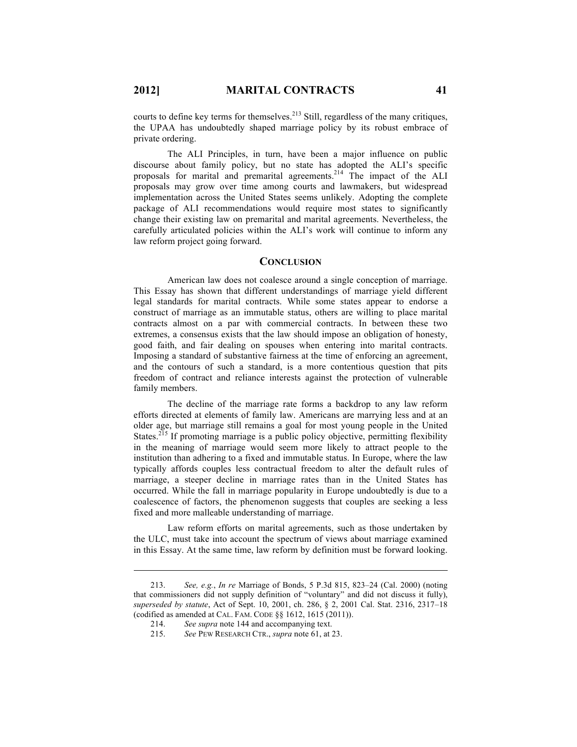$\overline{a}$ 

courts to define key terms for themselves.<sup>213</sup> Still, regardless of the many critiques, the UPAA has undoubtedly shaped marriage policy by its robust embrace of private ordering.

The ALI Principles, in turn, have been a major influence on public discourse about family policy, but no state has adopted the ALI's specific proposals for marital and premarital agreements.<sup>214</sup> The impact of the ALI proposals may grow over time among courts and lawmakers, but widespread implementation across the United States seems unlikely. Adopting the complete package of ALI recommendations would require most states to significantly change their existing law on premarital and marital agreements. Nevertheless, the carefully articulated policies within the ALI's work will continue to inform any law reform project going forward.

# **CONCLUSION**

American law does not coalesce around a single conception of marriage. This Essay has shown that different understandings of marriage yield different legal standards for marital contracts. While some states appear to endorse a construct of marriage as an immutable status, others are willing to place marital contracts almost on a par with commercial contracts. In between these two extremes, a consensus exists that the law should impose an obligation of honesty, good faith, and fair dealing on spouses when entering into marital contracts. Imposing a standard of substantive fairness at the time of enforcing an agreement, and the contours of such a standard, is a more contentious question that pits freedom of contract and reliance interests against the protection of vulnerable family members.

The decline of the marriage rate forms a backdrop to any law reform efforts directed at elements of family law. Americans are marrying less and at an older age, but marriage still remains a goal for most young people in the United States.<sup>215</sup> If promoting marriage is a public policy objective, permitting flexibility in the meaning of marriage would seem more likely to attract people to the institution than adhering to a fixed and immutable status. In Europe, where the law typically affords couples less contractual freedom to alter the default rules of marriage, a steeper decline in marriage rates than in the United States has occurred. While the fall in marriage popularity in Europe undoubtedly is due to a coalescence of factors, the phenomenon suggests that couples are seeking a less fixed and more malleable understanding of marriage.

Law reform efforts on marital agreements, such as those undertaken by the ULC, must take into account the spectrum of views about marriage examined in this Essay. At the same time, law reform by definition must be forward looking.

<sup>213.</sup> *See, e.g.*, *In re* Marriage of Bonds, 5 P.3d 815, 823–24 (Cal. 2000) (noting that commissioners did not supply definition of "voluntary" and did not discuss it fully), *superseded by statute*, Act of Sept. 10, 2001, ch. 286, § 2, 2001 Cal. Stat. 2316, 2317–18 (codified as amended at CAL. FAM. CODE  $\S$ § 1612, 1615 (2011)).<br>214. See supra note 144 and accompanying text.

See supra note 144 and accompanying text.

<sup>215.</sup> *See* PEW RESEARCH CTR., *supra* note 61, at 23.